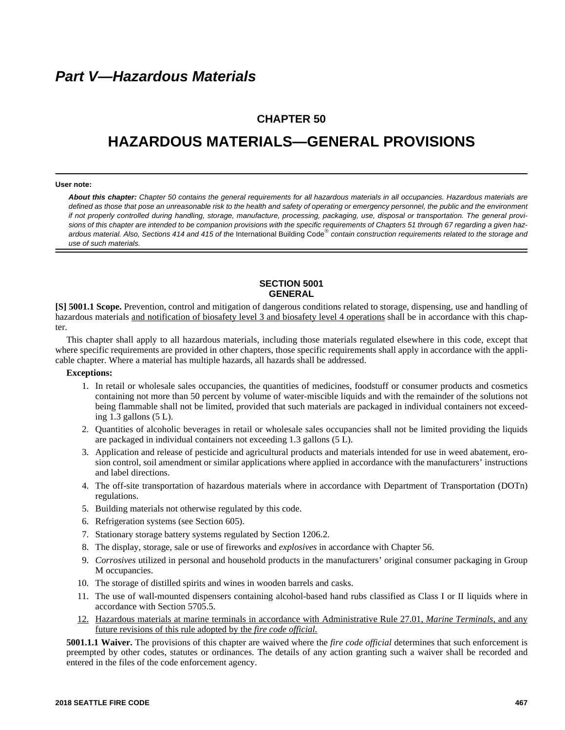# **CHAPTER 50**

# **HAZARDOUS MATERIALS—GENERAL PROVISIONS**

#### **User note:**

*About this chapter: Chapter 50 contains the general requirements for all hazardous materials in all occupancies. Hazardous materials are defined as those that pose an unreasonable risk to the health and safety of operating or emergency personnel, the public and the environment if not properly controlled during handling, storage, manufacture, processing, packaging, use, disposal or transportation. The general provisions of this chapter are intended to be companion provisions with the specific requirements of Chapters 51 through 67 regarding a given haz*ardous material. Also, Sections 414 and 415 of the International Building Code<sup>®</sup> contain construction requirements related to the storage and *use of such materials.*

# **SECTION 5001 GENERAL**

**[S] 5001.1 Scope.** Prevention, control and mitigation of dangerous conditions related to storage, dispensing, use and handling of hazardous materials and notification of biosafety level 3 and biosafety level 4 operations shall be in accordance with this chapter.

This chapter shall apply to all hazardous materials, including those materials regulated elsewhere in this code, except that where specific requirements are provided in other chapters, those specific requirements shall apply in accordance with the applicable chapter. Where a material has multiple hazards, all hazards shall be addressed.

# **Exceptions:**

- 1. In retail or wholesale sales occupancies, the quantities of medicines, foodstuff or consumer products and cosmetics containing not more than 50 percent by volume of water-miscible liquids and with the remainder of the solutions not being flammable shall not be limited, provided that such materials are packaged in individual containers not exceeding  $1.3$  gallons  $(5 L)$ .
- 2. Quantities of alcoholic beverages in retail or wholesale sales occupancies shall not be limited providing the liquids are packaged in individual containers not exceeding 1.3 gallons (5 L).
- 3. Application and release of pesticide and agricultural products and materials intended for use in weed abatement, erosion control, soil amendment or similar applications where applied in accordance with the manufacturers' instructions and label directions.
- 4. The off-site transportation of hazardous materials where in accordance with Department of Transportation (DOTn) regulations.
- 5. Building materials not otherwise regulated by this code.
- 6. Refrigeration systems (see Section 605).
- 7. Stationary storage battery systems regulated by Section 1206.2.
- 8. The display, storage, sale or use of fireworks and *explosives* in accordance with Chapter 56.
- 9. *Corrosives* utilized in personal and household products in the manufacturers' original consumer packaging in Group M occupancies.
- 10. The storage of distilled spirits and wines in wooden barrels and casks.
- 11. The use of wall-mounted dispensers containing alcohol-based hand rubs classified as Class I or II liquids where in accordance with Section 5705.5.
- 12. Hazardous materials at marine terminals in accordance with Administrative Rule 27.01, *Marine Terminals,* and any future revisions of this rule adopted by the *fire code official.*

**5001.1.1 Waiver.** The provisions of this chapter are waived where the *fire code official* determines that such enforcement is preempted by other codes, statutes or ordinances. The details of any action granting such a waiver shall be recorded and entered in the files of the code enforcement agency.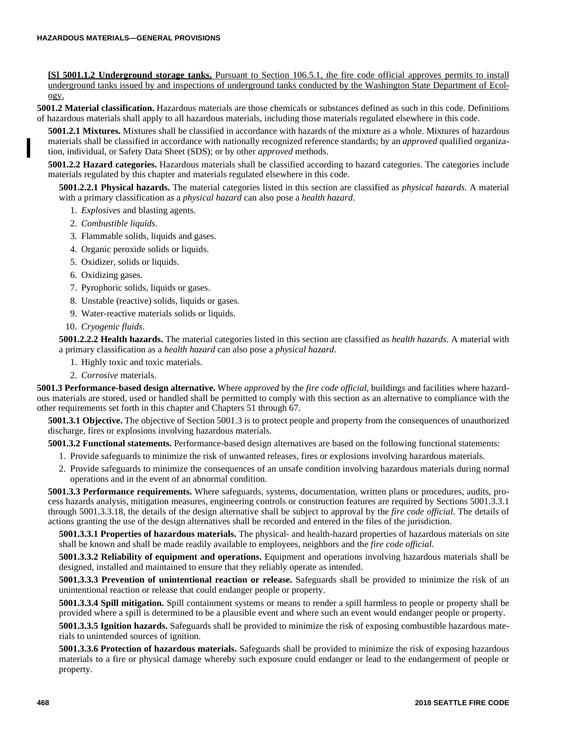**[S] 5001.1.2 Underground storage tanks.** Pursuant to Section 106.5.1, the fire code official approves permits to install underground tanks issued by and inspections of underground tanks conducted by the Washington State Department of Ecology.

**5001.2 Material classification.** Hazardous materials are those chemicals or substances defined as such in this code. Definitions of hazardous materials shall apply to all hazardous materials, including those materials regulated elsewhere in this code.

**5001.2.1 Mixtures.** Mixtures shall be classified in accordance with hazards of the mixture as a whole. Mixtures of hazardous materials shall be classified in accordance with nationally recognized reference standards; by an *approved* qualified organization, individual, or Safety Data Sheet (SDS); or by other *approved* methods.

**5001.2.2 Hazard categories.** Hazardous materials shall be classified according to hazard categories. The categories include materials regulated by this chapter and materials regulated elsewhere in this code.

**5001.2.2.1 Physical hazards.** The material categories listed in this section are classified as *physical hazards*. A material with a primary classification as a *physical hazard* can also pose a *health hazard*.

- 1. *Explosives* and blasting agents.
- 2. *Combustible liquids*.
- 3. Flammable solids, liquids and gases.
- 4. Organic peroxide solids or liquids.
- 5. Oxidizer, solids or liquids.
- 6. Oxidizing gases.
- 7. Pyrophoric solids, liquids or gases.
- 8. Unstable (reactive) solids, liquids or gases.
- 9. Water-reactive materials solids or liquids.
- 10. *Cryogenic fluids*.

**5001.2.2.2 Health hazards.** The material categories listed in this section are classified as *health hazards*. A material with a primary classification as a *health hazard* can also pose a *physical hazard*.

- 1. Highly toxic and toxic materials.
- 2. *Corrosive* materials.

**5001.3 Performance-based design alternative.** Where *approved* by the *fire code official*, buildings and facilities where hazardous materials are stored, used or handled shall be permitted to comply with this section as an alternative to compliance with the other requirements set forth in this chapter and Chapters 51 through 67.

**5001.3.1 Objective.** The objective of Section 5001.3 is to protect people and property from the consequences of unauthorized discharge, fires or explosions involving hazardous materials.

**5001.3.2 Functional statements.** Performance-based design alternatives are based on the following functional statements:

- 1. Provide safeguards to minimize the risk of unwanted releases, fires or explosions involving hazardous materials.
- 2. Provide safeguards to minimize the consequences of an unsafe condition involving hazardous materials during normal operations and in the event of an abnormal condition.

**5001.3.3 Performance requirements.** Where safeguards, systems, documentation, written plans or procedures, audits, process hazards analysis, mitigation measures, engineering controls or construction features are required by Sections 5001.3.3.1 through 5001.3.3.18, the details of the design alternative shall be subject to approval by the *fire code official*. The details of actions granting the use of the design alternatives shall be recorded and entered in the files of the jurisdiction.

**5001.3.3.1 Properties of hazardous materials.** The physical- and health-hazard properties of hazardous materials on site shall be known and shall be made readily available to employees, neighbors and the *fire code official*.

**5001.3.3.2 Reliability of equipment and operations.** Equipment and operations involving hazardous materials shall be designed, installed and maintained to ensure that they reliably operate as intended.

**5001.3.3.3 Prevention of unintentional reaction or release.** Safeguards shall be provided to minimize the risk of an unintentional reaction or release that could endanger people or property.

**5001.3.3.4 Spill mitigation.** Spill containment systems or means to render a spill harmless to people or property shall be provided where a spill is determined to be a plausible event and where such an event would endanger people or property.

**5001.3.3.5 Ignition hazards.** Safeguards shall be provided to minimize the risk of exposing combustible hazardous materials to unintended sources of ignition.

**5001.3.3.6 Protection of hazardous materials.** Safeguards shall be provided to minimize the risk of exposing hazardous materials to a fire or physical damage whereby such exposure could endanger or lead to the endangerment of people or property.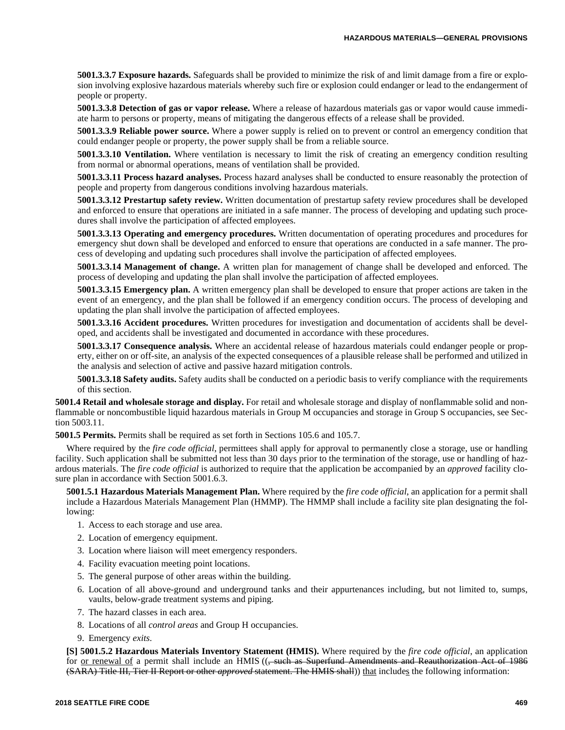**5001.3.3.7 Exposure hazards.** Safeguards shall be provided to minimize the risk of and limit damage from a fire or explosion involving explosive hazardous materials whereby such fire or explosion could endanger or lead to the endangerment of people or property.

**5001.3.3.8 Detection of gas or vapor release.** Where a release of hazardous materials gas or vapor would cause immediate harm to persons or property, means of mitigating the dangerous effects of a release shall be provided.

**5001.3.3.9 Reliable power source.** Where a power supply is relied on to prevent or control an emergency condition that could endanger people or property, the power supply shall be from a reliable source.

**5001.3.3.10 Ventilation.** Where ventilation is necessary to limit the risk of creating an emergency condition resulting from normal or abnormal operations, means of ventilation shall be provided.

**5001.3.3.11 Process hazard analyses.** Process hazard analyses shall be conducted to ensure reasonably the protection of people and property from dangerous conditions involving hazardous materials.

**5001.3.3.12 Prestartup safety review.** Written documentation of prestartup safety review procedures shall be developed and enforced to ensure that operations are initiated in a safe manner. The process of developing and updating such procedures shall involve the participation of affected employees.

**5001.3.3.13 Operating and emergency procedures.** Written documentation of operating procedures and procedures for emergency shut down shall be developed and enforced to ensure that operations are conducted in a safe manner. The process of developing and updating such procedures shall involve the participation of affected employees.

**5001.3.3.14 Management of change.** A written plan for management of change shall be developed and enforced. The process of developing and updating the plan shall involve the participation of affected employees.

**5001.3.3.15 Emergency plan.** A written emergency plan shall be developed to ensure that proper actions are taken in the event of an emergency, and the plan shall be followed if an emergency condition occurs. The process of developing and updating the plan shall involve the participation of affected employees.

**5001.3.3.16 Accident procedures.** Written procedures for investigation and documentation of accidents shall be developed, and accidents shall be investigated and documented in accordance with these procedures.

**5001.3.3.17 Consequence analysis.** Where an accidental release of hazardous materials could endanger people or property, either on or off-site, an analysis of the expected consequences of a plausible release shall be performed and utilized in the analysis and selection of active and passive hazard mitigation controls.

**5001.3.3.18 Safety audits.** Safety audits shall be conducted on a periodic basis to verify compliance with the requirements of this section.

**5001.4 Retail and wholesale storage and display.** For retail and wholesale storage and display of nonflammable solid and nonflammable or noncombustible liquid hazardous materials in Group M occupancies and storage in Group S occupancies, see Section 5003.11.

**5001.5 Permits.** Permits shall be required as set forth in Sections 105.6 and 105.7.

Where required by the *fire code official*, permittees shall apply for approval to permanently close a storage, use or handling facility. Such application shall be submitted not less than 30 days prior to the termination of the storage, use or handling of hazardous materials. The *fire code official* is authorized to require that the application be accompanied by an *approved* facility closure plan in accordance with Section 5001.6.3.

**5001.5.1 Hazardous Materials Management Plan.** Where required by the *fire code official*, an application for a permit shall include a Hazardous Materials Management Plan (HMMP). The HMMP shall include a facility site plan designating the following:

- 1. Access to each storage and use area.
- 2. Location of emergency equipment.
- 3. Location where liaison will meet emergency responders.
- 4. Facility evacuation meeting point locations.
- 5. The general purpose of other areas within the building.
- 6. Location of all above-ground and underground tanks and their appurtenances including, but not limited to, sumps, vaults, below-grade treatment systems and piping.
- 7. The hazard classes in each area.
- 8. Locations of all *control areas* and Group H occupancies.
- 9. Emergency *exits*.

**[S] 5001.5.2 Hazardous Materials Inventory Statement (HMIS).** Where required by the *fire code official*, an application for <u>or renewal of</u> a permit shall include an HMIS ((<del>, such as Superfund Amendments and Reauthorization Act of 1986</del> (SARA) Title III, Tier II Report or other *approved* statement. The HMIS shall)) that includes the following information: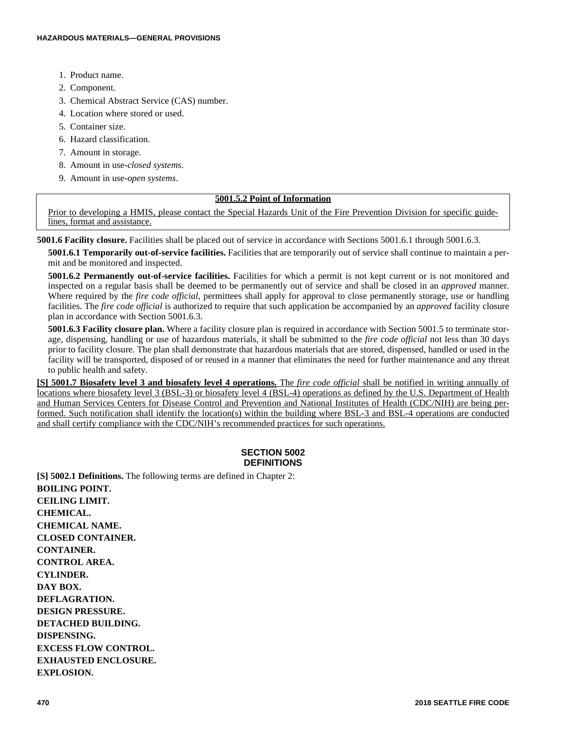- 1. Product name.
- 2. Component.
- 3. Chemical Abstract Service (CAS) number.
- 4. Location where stored or used.
- 5. Container size.
- 6. Hazard classification.
- 7. Amount in storage.
- 8. Amount in use-*closed systems*.
- 9. Amount in use-*open systems*.

# **5001.5.2 Point of Information**

Prior to developing a HMIS, please contact the Special Hazards Unit of the Fire Prevention Division for specific guidelines, format and assistance.

**5001.6 Facility closure.** Facilities shall be placed out of service in accordance with Sections 5001.6.1 through 5001.6.3.

**5001.6.1 Temporarily out-of-service facilities.** Facilities that are temporarily out of service shall continue to maintain a permit and be monitored and inspected.

**5001.6.2 Permanently out-of-service facilities.** Facilities for which a permit is not kept current or is not monitored and inspected on a regular basis shall be deemed to be permanently out of service and shall be closed in an *approved* manner. Where required by the *fire code official*, permittees shall apply for approval to close permanently storage, use or handling facilities. The *fire code official* is authorized to require that such application be accompanied by an *approved* facility closure plan in accordance with Section 5001.6.3.

**5001.6.3 Facility closure plan.** Where a facility closure plan is required in accordance with Section 5001.5 to terminate storage, dispensing, handling or use of hazardous materials, it shall be submitted to the *fire code official* not less than 30 days prior to facility closure. The plan shall demonstrate that hazardous materials that are stored, dispensed, handled or used in the facility will be transported, disposed of or reused in a manner that eliminates the need for further maintenance and any threat to public health and safety.

**[S] 5001.7 Biosafety level 3 and biosafety level 4 operations.** The *fire code official* shall be notified in writing annually of locations where biosafety level 3 (BSL-3) or biosafety level 4 (BSL-4) operations as defined by the U.S. Department of Health and Human Services Centers for Disease Control and Prevention and National Institutes of Health (CDC/NIH) are being performed. Such notification shall identify the location(s) within the building where BSL-3 and BSL-4 operations are conducted and shall certify compliance with the CDC/NIH's recommended practices for such operations.

# **SECTION 5002 DEFINITIONS**

**[S] 5002.1 Definitions.** The following terms are defined in Chapter 2: **BOILING POINT. CEILING LIMIT. CHEMICAL. CHEMICAL NAME. CLOSED CONTAINER. CONTAINER. CONTROL AREA. CYLINDER. DAY BOX. DEFLAGRATION. DESIGN PRESSURE. DETACHED BUILDING. DISPENSING. EXCESS FLOW CONTROL. EXHAUSTED ENCLOSURE. EXPLOSION.**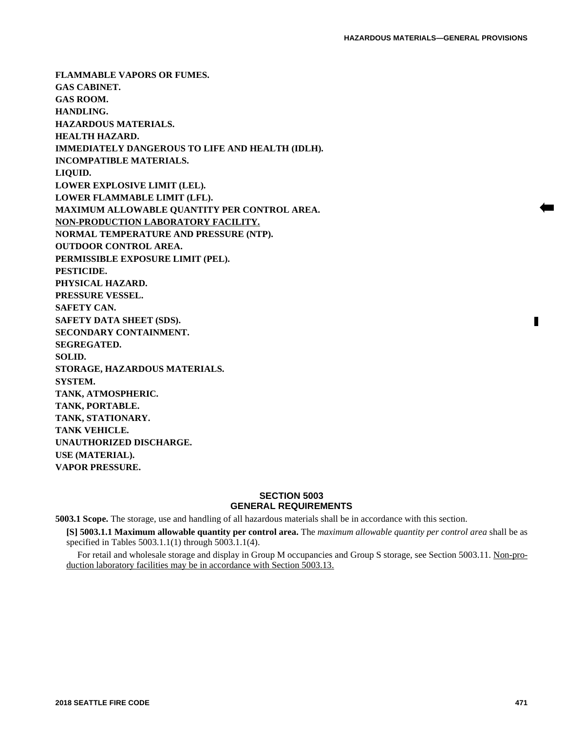**FLAMMABLE VAPORS OR FUMES. GAS CABINET. GAS ROOM. HANDLING. HAZARDOUS MATERIALS. HEALTH HAZARD. IMMEDIATELY DANGEROUS TO LIFE AND HEALTH (IDLH). INCOMPATIBLE MATERIALS. LIQUID. LOWER EXPLOSIVE LIMIT (LEL). LOWER FLAMMABLE LIMIT (LFL). MAXIMUM ALLOWABLE QUANTITY PER CONTROL AREA. NON-PRODUCTION LABORATORY FACILITY. NORMAL TEMPERATURE AND PRESSURE (NTP). OUTDOOR CONTROL AREA. PERMISSIBLE EXPOSURE LIMIT (PEL). PESTICIDE. PHYSICAL HAZARD. PRESSURE VESSEL. SAFETY CAN. SAFETY DATA SHEET (SDS). SECONDARY CONTAINMENT. SEGREGATED. SOLID. STORAGE, HAZARDOUS MATERIALS. SYSTEM. TANK, ATMOSPHERIC. TANK, PORTABLE. TANK, STATIONARY. TANK VEHICLE. UNAUTHORIZED DISCHARGE. USE (MATERIAL). VAPOR PRESSURE.**

# **SECTION 5003 GENERAL REQUIREMENTS**

**5003.1 Scope.** The storage, use and handling of all hazardous materials shall be in accordance with this section.

**[S] 5003.1.1 Maximum allowable quantity per control area.** The *maximum allowable quantity per control area* shall be as specified in Tables 5003.1.1(1) through 5003.1.1(4).

For retail and wholesale storage and display in Group M occupancies and Group S storage, see Section 5003.11. Non-production laboratory facilities may be in accordance with Section 5003.13.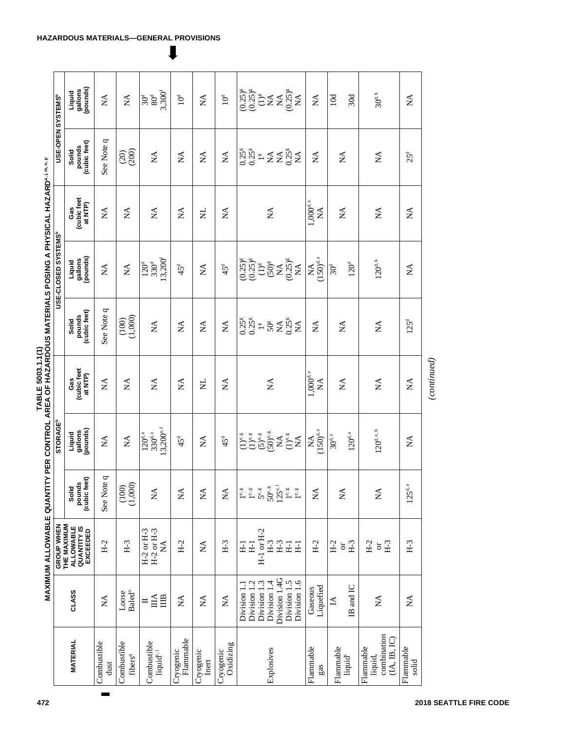| <br> <br> <br><b>A THREE ASSESSMENT CONTRACT AND AN ANGLE CONTRACT CONTRACT CONTRACT CONTRACT CONTRACT CONTRACT CONTRACT CONTRACT CONTRACT CONTRACT CONTRACT CONTRACT CONTRACT CONTRACT CONTRACT CONTRACT CONTRACT CONTRACT CONTRACT CONTRACT </b><br>こくさい うくらし にっぽー<br>ׇ֧֧֦֦֦֧֦֧֦֧֦֧֦֧ׅ֧֦֧ׅ֧֦֧ׅ֧֦֧ׅ֧֦֧ׅ֧֛֛֪֛֝֝֝֬֝֜֓֜֓֜֓֜֓֜֓<br>֧֛ׅ֪֖֧֧֧֦֧֦֧֦֧֦֧֦֧֦֧֦֧֦֧֚֚֚֚֚֚֚֚֚֚֜֜֜֘֜֓֬֝֘ |  |
|-----------------------------------------------------------------------------------------------------------------------------------------------------------------------------------------------------------------------------------------------------------------------------------------------------------------------------------------------------------------------------|--|
|-----------------------------------------------------------------------------------------------------------------------------------------------------------------------------------------------------------------------------------------------------------------------------------------------------------------------------------------------------------------------------|--|

|                                                   |                                              | <b>MAXIMUM ALLOWABLE QUANTIY</b><br>GROUP WHEN                    |                                                       | STORAGE <sup>b</sup>                                 |                                                       | PER CONTROL AREA OF HAZARDOUS MATERIALS POSING A PHYSICAL HAZARDa. I m. n. | USE-CLOSED SYSTEMS <sup>b</sup>                             |                              | USE-OPEN SYSTEMS <sup>b</sup>                                     |                                                                        |  |
|---------------------------------------------------|----------------------------------------------|-------------------------------------------------------------------|-------------------------------------------------------|------------------------------------------------------|-------------------------------------------------------|----------------------------------------------------------------------------|-------------------------------------------------------------|------------------------------|-------------------------------------------------------------------|------------------------------------------------------------------------|--|
| <b>MATERIAL</b>                                   | CLASS                                        | THE MAXIMUM<br><b>QUANTITY IS</b><br><b>ALLOWABLE</b><br>EXCEEDED | (cubic feet)<br>pounds<br>Solid                       | pounds)<br>Liquid<br>gallons                         | (cubic feet<br>at NTP)<br>Gas                         | (cubic feet)<br>pounds<br>Solid                                            | gallons<br>(pounds)<br>Liquid                               | cubic feet<br>at NTP)<br>Gas | (cubic feet)<br>pounds<br>Solid                                   | (pounds)<br>gallons<br>Liquid                                          |  |
| Combustible<br>dust                               | ΧÁ                                           | $H-2$                                                             | See Note q                                            | Á                                                    | Ź                                                     | See Note q                                                                 | Ź                                                           | Ź                            | See Note q                                                        | $\mathbb{A}$                                                           |  |
| Combustible<br>fibers <sup>q</sup>                | Baled <sup>o</sup><br>Loose                  | $H-3$                                                             | (1,000)<br>(100)                                      | $\stackrel{\Delta}{\simeq}$                          | $\mathbb{A}$                                          | $(100)$<br>$(1,000)$                                                       | $\lesssim$                                                  | $\mathbb{A}$                 | (200)<br>(20)                                                     | $\stackrel{\blacktriangle}{\geq}$                                      |  |
| Combustible<br>liquid <sup>e, i</sup>             | $\mathbb{H}$<br>$\mathbb{H}$<br>$\mathbf{I}$ | $H-2$ or $H-3$<br>$H-2$ or $H-3$<br>$\mathbb{X}^{\mathsf{A}}$     | $\mathbb{A}^{\mathsf{A}}$                             | $3,200^{e,f}$<br>$330^{\rm d.e}$<br>$120^{d,e}$      | $\mathbb{A}$                                          | $\mathbb{A}^{\mathsf{A}}$                                                  | $13,200^t$<br>$120^d$<br>330 <sup>d</sup>                   | $\mathbb{A}$                 | $\mathbb{A}$                                                      | 3,300<br>$80^{\rm d}$<br>30 <sup>d</sup>                               |  |
| Flammable<br>Cryogenic                            | $\mathbb{A}$                                 | $H-2$                                                             | $\stackrel{\triangle}{\simeq}$                        | $45^{\rm d}$                                         | Á                                                     | $\mathbb{X}^{\mathsf{A}}$                                                  | 45 <sup>d</sup>                                             | $\mathop{\mathsf{NA}}$       | $\mathbb{A}^{\mathsf{A}}$                                         | $10^d$                                                                 |  |
| Cryogenic<br>Inert                                | $\mathbb{A}$                                 | $\mathbb{A}$                                                      | $\mathbb{X}^{\mathsf{A}}$                             | Á                                                    | Ę                                                     | $\mathbb{X}^{\mathsf{A}}$                                                  | $\mathbb{A}$                                                | Ξ                            | $\mathbb{X}^{\mathsf{A}}$                                         | ÁX                                                                     |  |
| Oxidizing<br>Cryogenic                            | ÁX                                           | $H-3$                                                             | $\mathbb{X}^{\mathsf{A}}$                             | $45^{\rm d}$                                         | Á                                                     | $\mathbb{X}^{\mathsf{A}}$                                                  | $45^{\rm d}$                                                | ÁX                           | $\mathbb{X}^{\mathsf{A}}$                                         | 10 <sup>d</sup>                                                        |  |
|                                                   | Division 1.2<br>Division 1.3<br>Division 1.1 | $H-1$ or $H-2$<br>$\Xi$<br>H <sub>1</sub>                         | $5^{\circ}$ .<br>1e, g<br>$1^{\mathrm{e},\mathrm{g}}$ | $(5)$ e, g<br>$(1)$ <sup>e, g</sup><br>$(1)^e$ , $g$ |                                                       | $0.25$ <sup>g</sup><br>$0.25$ <sup>g</sup><br>$\frac{60}{2}$               | $(0.25)$ <sup>g</sup><br>$(0.25)$ <sup>g</sup><br>$(1)^{g}$ |                              | $0.25$ <sup>g</sup><br>$0.25$ <sup>g</sup><br>$\frac{60}{2}$      | $(0.25)$ <sup>g</sup><br>$(0.25)$ <sup>g</sup><br>$\left(1\right)^{g}$ |  |
| Explosives                                        | Division 1.4G<br>Division 1.4                | $H-3$<br>$H-3$                                                    | $125^{\mathrm{e},1}$<br>$50^{\circ}$                  | $(50)^{e,g}$<br>$\stackrel{\blacktriangle}{\geq}$    | $\lesssim$                                            | 50 <sup>g</sup><br>$\mathbb{A}$                                            | $(50)$ <sup>g</sup><br>$\mathbb{A}$                         | $\mathbb{A}$                 | $\stackrel{\blacktriangle}{\simeq}$<br>$\mathop{\rm NA}\nolimits$ | $\lessapprox$<br>$\mathbb{A}$                                          |  |
|                                                   | Division 1.5<br>Division 1.6                 | H <sub>1</sub><br>H <sub>1</sub>                                  | $1^{\mathbf{e},\mathbf{g}}$<br>1e, g                  | $(1)^{e, g}$<br>$\sum_{i=1}^{n}$                     |                                                       | $0.25$ <sup>g</sup><br>ΧÁ                                                  | $(0.25)$ <sup>g</sup><br>ÁX                                 |                              | $0.25$ <sup>g</sup><br>$\sum_{i=1}^{n}$                           | $(0.25)^\mathrm{g}$<br>$\sum_{i=1}^{n}$                                |  |
| Flammable<br>gas                                  | Liquefied<br>Gaseous                         | $H-2$                                                             | $\mathbb{A}$                                          | $(150)^{d,e}$<br>$\mathbb{A}$                        | $1,000^{d,e}$<br>$\stackrel{\blacktriangle}{\approx}$ | $\mathbb{A}$                                                               | $(150)^{d,e}$<br>₹                                          | $1,000^{\rm d.\,e}$<br>ÁX    | $\mathbb{A}$                                                      | $\lesssim$                                                             |  |
| Flammable<br>liquid <sup>e</sup>                  | IB and IC<br>$\Delta$                        | $H-2$<br>$H-3$<br>$\overleftarrow{\mathrm{C}}$                    | $\mathbb{A}^{\mathsf{A}}$                             | $120^{\rm d.e}$<br>$30^{\rm d.\,e}$                  | $\stackrel{\blacktriangle}{\ge}$                      | $\mathbb{A}^{\mathsf{A}}$                                                  | 120 <sup>d</sup><br>30 <sup>d</sup>                         | $\mathbb{A}$                 | $\mathbb{A}^{\mathsf{A}}$                                         | $10d$<br>30d                                                           |  |
| combination<br>(A, B, IC)<br>Flammable<br>liquid, | $\lesssim$                                   | $H-2$<br>$H-3$<br>$\overleftarrow{\mathrm{C}}$                    | $\mathbb{X}^{\mathsf{A}}$                             | $120^{\rm d.\,e.\,h}$                                | $\stackrel{\blacktriangle}{\simeq}$                   | $\mathop{\mathsf{X}}\nolimits$                                             | $120^{\rm d. \, h}$                                         | $\mathbb{A}$                 | $\mathbb{X}^{\mathsf{A}}$                                         | $30^{\rm d,h}$                                                         |  |
| Flammable<br>solid                                | $\mathbb{A}^{\mathsf{A}}$                    | $H-3$                                                             | $125d$ .e                                             | $\mathbb{A}^{\mathsf{A}}$                            | $\mathbb{A}^{\mathsf{A}}$                             | 125 <sup>d</sup>                                                           | Á                                                           | Á                            | 25 <sup>d</sup>                                                   | $\mathbb{A}^{\mathsf{A}}$                                              |  |
|                                                   |                                              |                                                                   |                                                       |                                                      | (continued)                                           |                                                                            |                                                             |                              |                                                                   |                                                                        |  |

# **HAZARDOUS MATERIALS—GENERAL PROVISIONS**

L

 $\blacksquare$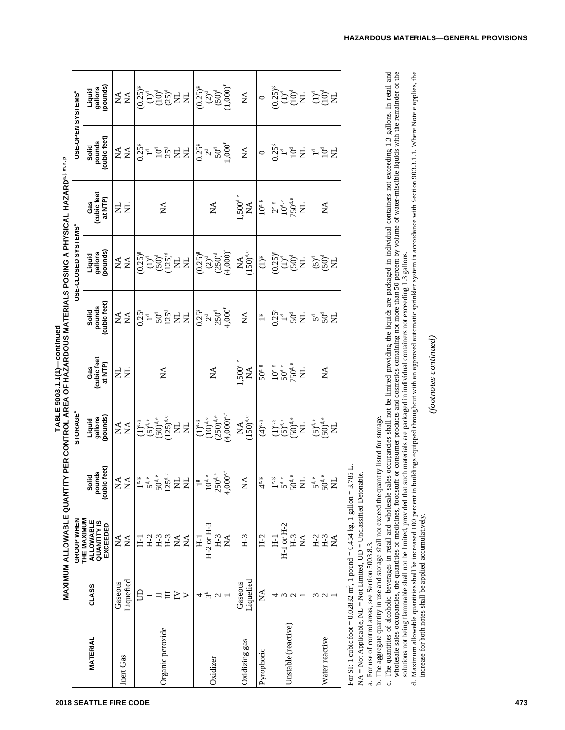|                          |                                      | MAXIMUM ALLOWABLE QUANTITY PER CONTROL AREA OF HAZARDOUS MATERIALS POSING A PHYSICAL HAZARD"I"." |                                                                                               |                                                                          |                                                  |                                                                                                                |                                                                     |                                                       |                                                              |                                                                                                                                                                                                                                                                                                                                                                                                                                                                                                  |
|--------------------------|--------------------------------------|--------------------------------------------------------------------------------------------------|-----------------------------------------------------------------------------------------------|--------------------------------------------------------------------------|--------------------------------------------------|----------------------------------------------------------------------------------------------------------------|---------------------------------------------------------------------|-------------------------------------------------------|--------------------------------------------------------------|--------------------------------------------------------------------------------------------------------------------------------------------------------------------------------------------------------------------------------------------------------------------------------------------------------------------------------------------------------------------------------------------------------------------------------------------------------------------------------------------------|
|                          |                                      | GROUP WHEN                                                                                       |                                                                                               | <b>STORAGE<sup>b</sup></b>                                               |                                                  |                                                                                                                | USE-CLOSED SYSTEMS <sup>®</sup>                                     |                                                       | USE-OPEN SYSTEMS <sup>®</sup>                                |                                                                                                                                                                                                                                                                                                                                                                                                                                                                                                  |
| <b>MATERIAL</b>          | CLASS                                | THE MAXIMUM<br><b>ALLOWABLE</b><br><b>QUANTITY IS</b><br>EXCEEDED                                | (cubic feet)<br>pounds<br>Solid                                                               | (pounds)<br>gallons<br>Liquid                                            | Gas<br>(cubic feet<br>at NTP)                    | (cubic feet)<br>pounds<br>Solid                                                                                | gallons<br>(pounds)<br>Liquid                                       | (cubic feet<br>at NTP)<br>Gas                         | (cubic feet)<br>pounds<br>Solid                              | gallons<br>(pounds)<br>Liquid                                                                                                                                                                                                                                                                                                                                                                                                                                                                    |
| Inert Gas                | Liquefied<br>Gaseous                 | $\mathbb{A}^{\mathbf{A}}$<br>$\mathbb{X}^{\mathsf{A}}$                                           | $Z\widetilde{Z}$                                                                              | $Z \nleq$                                                                | Ę<br>$\mathsf{E}$                                | $Z\stackrel{\triangleleft}{\approx}$                                                                           | $\stackrel{\blacktriangle}{\approx}$                                | $\Xi$<br>Ę                                            | $Z \nleq$                                                    | $Z \nleq$                                                                                                                                                                                                                                                                                                                                                                                                                                                                                        |
| Organic peroxide         | S<br>≧<br>>                          | 1255<br>HHH<br>$\sum_{i=1}^{n}$<br>도                                                             | $\begin{array}{l} \frac{1^{e,\,g}}{5^{d,e}}\\ 50^{d,e}\\ 125^{d,e}\\ \mathrm{NL} \end{array}$ | $\sum_{(50)^{d,e}}^{(5)^{d,e}}$<br>$\sum_{(125)^{d,e}}$<br>$(1)^e$ , $g$ | Á                                                | $\begin{array}{c} 0.25^{\mathrm{s}}\\ 7.25^{\mathrm{d}}\\ 2.25^{\mathrm{d}}\\ 2.25^{\mathrm{d}}\\ \end{array}$ | $(0.25)^8$<br>$(1)^4$<br>$(50)^4$<br>$(125)^4$<br>$X L$             | ₹                                                     | $0.25$ <sup>s</sup><br><b>FP&amp;WE</b>                      | $\begin{array}{l} \overset{\text{\tiny{6}}}{\underset{(-1)^{d}}{\sum}}\overset{\text{\tiny{6}}}{\underset{(-1)^{d}}{\sum}}\overset{\text{\tiny{6}}}{\underset{(-1)^{d}}{\sum}}\overset{\text{\tiny{6}}}{\underset{(-1)^{d}}{\sum}}\overset{\text{\tiny{6}}}{\underset{(-1)^{d}}{\sum}}\overset{\text{\tiny{6}}}{\underset{(-1)^{d}}{\sum}}\overset{\text{\tiny{6}}}{\underset{(-1)^{d}}{\sum}}\overset{\text{\tiny{6}}}{\underset{(-1)^{d}}{\sum}}\overset{\text{\tiny{6}}}{\underset{(-1)^{d}}$ |
| Oxidizer                 | $\tilde{\mathcal{E}}$<br>4           | $H-2$ or $H-3$<br>$H-3$<br>$H_1$<br>₹                                                            | $\begin{array}{c} 1^g\\ 10^{d,e}\\ 250^{d,e}\\ 4,000^{e,f} \end{array}$                       | $(4,000)^{e,f}$<br>$(250)^{d,e}$<br>$(10)^{d,e}$<br>$(1)^{e, g}$         | $\mathbb{A}^{\mathsf{A}}$                        | 4,000 <sup>f</sup><br>$0.25^8$<br>$250^4$                                                                      | $(0.25)^8$<br>$(2)^9$<br>$(250)^4$<br>$(4,000)^5$                   | $\mathbb{A}^{\mathsf{A}}$                             | $1,000^\mathrm{f}$<br>$0.25$ <sup>8</sup><br>$2^d$<br>$50^d$ | $(0.25)^8$<br>$(2)^d$<br>$(50)^d$<br>$(1,000)^f$                                                                                                                                                                                                                                                                                                                                                                                                                                                 |
| Oxidizing gas            | Liquefied<br>Gaseous                 | $H-3$                                                                                            | $\mathbb{A}$                                                                                  | $(150)^{\rm d,e}$<br>$\mathop{\mathsf{NA}}$                              | $1,500^{d,e}$<br>$\mathbb{A}^{\mathsf{A}}$       | $\mathbb{A}$                                                                                                   | $(150)^{d,e}$<br>$\mathbb{A}$                                       | $1,500^{\rm d.\,e}$<br>$\mathbb{X}^{\mathsf{A}}$      | $\mathbb{A}^{\mathsf{A}}$                                    | $\mathbb{A}^{\mathsf{A}}$                                                                                                                                                                                                                                                                                                                                                                                                                                                                        |
| Pyrophoric               | Ź                                    | $H-2$                                                                                            | $4^{\mathrm{e}}$                                                                              | $(4)$ °, $\frac{g}{g}$                                                   | $50^{\circ}$ $\,$                                | $\stackrel{\text{co}}{\longrightarrow}$                                                                        | $\left(1\right)^{\mathsf{g}}$                                       | $10^{\circ}$                                          | $\circ$                                                      | $\circ$                                                                                                                                                                                                                                                                                                                                                                                                                                                                                          |
| Unstable (reactive)      | $\epsilon$<br>4<br>$\mathbf{\Omega}$ | H-1 or H-2<br>$H-3$<br>$\Xi$<br>$\mathbb{A}$                                                     | $5^{\text{d,e}}_{0^{\text{d,e}}}$<br>$\mathbf{e},\mathbf{g}$                                  | $(5)^{d,e}$<br>$(50)^{d,e}$<br>$(1)^{e, g}$<br>Ę                         | $50^{d,e}$<br>750 $^{d,e}$<br>$10^{\circ}$<br>ž, | 0.25 <sup>g</sup><br>${\rm ^5C}$<br>$\mathbf{I}^{\mathbf{d}}$                                                  | $(0.25)$ <sup>g</sup><br>$\widetilde{\Xi}^{\text{S}}_{\text{S}}\Xi$ | $750^{d,e}$<br>$10^{\rm d. \, e}$<br>$2^e$ , $8$<br>ž | 0.25 <sup>g</sup><br>리호                                      | $(0.25)^{8}$<br><b>FÖE</b>                                                                                                                                                                                                                                                                                                                                                                                                                                                                       |
| Water reactive           | ς<br>$\epsilon$                      | $H-3$<br>$H-2$<br>₹                                                                              | $5^{\text{d,e}}_{\text{O}}$ s<br>C                                                            | $(5)^{d,e}$<br>$(50)^{d,e}$<br>Z                                         | $\mathbb{A}^{\mathsf{A}}$                        | $5\%$<br>$\overline{z}$                                                                                        | $5\overline{6}$                                                     | $\mathbb{A}$                                          | 10 <sup>d</sup><br>$\mathsf{z}$<br>$\mathbf{u}$              | <b>FÖR</b>                                                                                                                                                                                                                                                                                                                                                                                                                                                                                       |
| France CT. 1 and in Case | 0.0002231                            | $-4 - 0.454$ 1- $-1$ $-11$                                                                       | 2050                                                                                          |                                                                          |                                                  |                                                                                                                |                                                                     |                                                       |                                                              |                                                                                                                                                                                                                                                                                                                                                                                                                                                                                                  |

**T A ROL A BLE 5003.1.1(1)—continued UANY** $\mathbf c$ **ON** $\blacksquare$ **A**

For SI: 1 cubic foot = 0.02832 m ო\_^ 1 pound = 0.454 kg, 1 gallon = 3.785 L.

 $\breve{\mathsf{z}}$ A = Not Applicable, N  $\overline{\phantom{0}}$  $L = Not$  Limited, U  $\mathsf{\Omega}$ = Unclassified Detonable.

a. For use of control areas, see Section 5003.8.3. a. For use of control areas, see Section 5003.8.3.

b. The aggregate quantity in use and storage shall not exceed the quantity listed for storage. b. The aggregate quantity in use and storage shall not exceed the quantity listed for storage.

c. The quanties of alcoholic beverages in retail and wholesale sales occupancies shall not be limited providing the liquids are packaged in individual containers not exceeding 1.3 gallons. In retail and wholesale sales occ c. The quantities of alcoholic beverages in retail and wholesale sales occupancies shall not be limited providing the liquids are packaged in individual containers not exceeding 1.3 gallons. In retail and wholesale saces occupancies, the quantities of medicines, foodstuff or consumer products and cosmetics containing not more than 50 percent by volume of water-miscible liquids with the remainder of the mable shall not be limited, provided that such materials are packaged in individual containers not exceeding 1.3 gallons. solutions not being flam

d. Maximum allowable quantities shall be increased 100 percent in buildings equipped throughout with an approved automatic sprinkler system in accordance with Section 903.3.1.1. Where Note e applies, the increase for both notes shall be applied accumulatively.

(footnotes continued) *(footnotes continued)*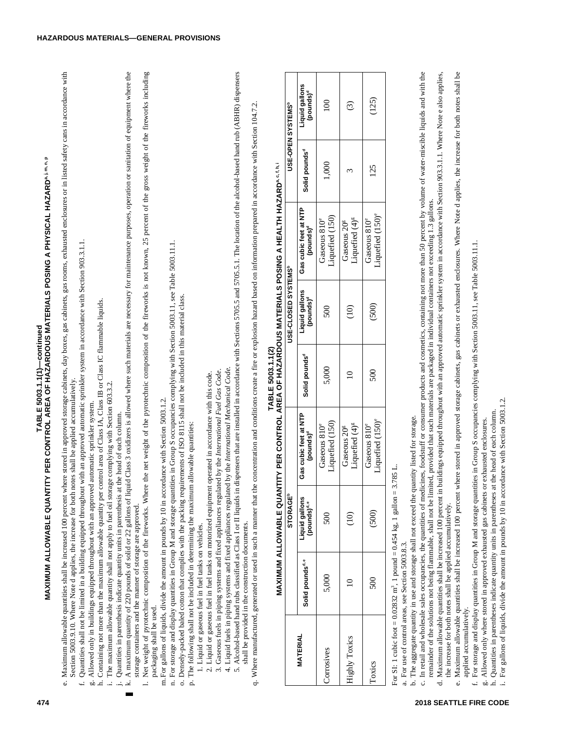- Maximum allowable quantities shall be increased 100 percent where stored in approved storage cabinets, day boxes, gas cabinets, gas rooms, exhausted enclosures or in listed safety cans in accordance with e. Maximum allowable quantities shall be increased 100 percent where stored in approved storage cabinets, day boxes, gas cabinets, gas rooms, exhausted enclosures or in listed safety cans in accordance with<br>exaction of 0. Section 5003.9.10. Where Note d applies, the increase for both notes shall be applied accumulatively. Section 5003.9.10. Where Note d applies, the increase for both notes shall be applied accumulatively.
	- f. Quantities shall not be limited in a building equipped throughout with an approved automatic sprinkler system in accordance with Section 903.3.1.1. f. Quantities shall not be limited in a building equipped throughout with an approved automatic sprinkler system in accordance with Section 903.3.1.1.
		- g. Allowed only in buildings equipped throughout with an approved automatic sprinkler system.
- g. Allowed only in buildings equipped throughout with an approved automatic sprinkler system. h. Containing not more than the maximum allowable quantity per control area of Class IA, Class IB or Class IC flammable liquids.
	- h. Containing not more than the maximum allowable quantity per control area of Class IA, Class IB or Class IC flam i. The maximum allowable quantity shall not apply to fuel oil storage complying with Section 603.3.2.
		- i. The maximum allowable quantity shall not apply to fuel oil storage complying with Section 603.3.2. j. Quantities in parenthesis indicate quantity units in parenthesis at the head of each column. j. Quantities in parenthesis indicate quantity units in parenthesis at the head of each column.
- 
- k. A maximum quantity of 220 pounds of solid or 22 gallons of liquid Class 3 oxidizers is allowed where such materials are necessary for maintenance purposes, operation or sanitation of equipment where the<br>storage containe maximum quantity of 220 pounds of solid or 22 gallons of liquid Class 3 oxidizers is allowed where such materials are necessary for maintenance purposes, operation or sanitation of equipment where the storage containers and the manner of storage are approved.
	- Net weight of pyrotechnic composition of the fireworks. Where the net weight of the pyrotechnic composition of the fireworks is not known, 25 percent of the gross weight of the fireworks including l. Net weight of pyrotechnic composition of the fireworks. Where the net weight of the net weight of the fireworks including including the fireworks including packaging shall be used. packaging shall be used.
		- m. For gallons of liquids, divide the amount in pounds by 10 in accordance with Section 5003.1.2. m.For gallons of liquids, divide the amount in pounds by 10 in accordance with Section 5003.1.2.
- n. For storage and display quantities in Group M and storage quantities in Group S occupancies complying with Section 5003.11, see Table 5003.11.1. n. For storage and display quantities in Group M and storage quantities in Group S occupancies complying with Section 5003.11, see Table 5003.11.1.
	- o. Densely-packed baled cotton that complies with the packing requirements of ISO 8115 shall not be included in this material class. o. Densely-packed baled cotton that complies with the packing requirements of ISO 8115 shall not be included in this material class.
		- p. The following shall not be included in determining the maximum allowable quantities:
		- p. The following shall not be included in determining the maximum allowable quantities: 1. Liquid or gaseous fuel in fuel tanks on vehicles.
			- 1. Liquid or gaseous fuel in fuel tanks on vehicles.
- Gaseous fuels in piping systems and fixed appliances regulated by the International Fuel Gas Code. 2. Liquid or gaseous fuel in fuel tanks on motorized equipment operated in accordance with this code. 2. Liquid or gaseous fuel in fuel tanks on motorized equipment operated in accordance with this code.  $\ddot{\cdot}$
- 3. Gaseous fuels in piping systems and fixed appliances regulated by the *International Fuel Gas Code*.
- 4. Liquid fuels in piping systems and fixed appliances regulated by the International Mechanical Code. 4. Liquid fuels in piping systems and fixed appliances regulated by the *International Mechanical Code*.
- R) dispensers BH5. Alcohol-based hand rubs classified as Class I or II liquids in dispensers that are installed in accordance with Sections 5705.5 and 5705.5.1. The location of the alcohol-based hand rub (A shall be provided in the construction documents. shall be provided in the construction documents.
	- q. Where manufactured, generated or used in such a manner that the concentration and conditions create a fire or explosion hazard based on information prepared in accordance with Section 104.7.2. q. Where manufactured, generated or used in such a manner that the concentration and conditions create a fire or explosion hazard based on information prepared in accordance with Section 104.7.2.

|                                                                                            | USE-OPEN SYSTEMS                | Liquid gallons<br>(pounds) <sup>d</sup>        | $\frac{1}{2}$                               | $\widehat{c}$                                         | (125)                                        |
|--------------------------------------------------------------------------------------------|---------------------------------|------------------------------------------------|---------------------------------------------|-------------------------------------------------------|----------------------------------------------|
|                                                                                            |                                 | Solid pounds <sup>d</sup>                      | 1,000                                       |                                                       | 125                                          |
| ANTITY PER CONTROL AREA OF HAZARDOUS MATERIALS POSING A HEALTH HAZARD <sup>a.c.f.h.i</sup> |                                 | Gas cubic feet at NTP<br>(pounds) <sup>d</sup> | Liquefied (150)<br>Gaseous 810 <sup>e</sup> | Liquefied (4) <sup>8</sup><br>Gaseous 20 <sup>g</sup> | Liquefied (150) <sup>e</sup><br>Gaseous 810° |
|                                                                                            | USE-CLOSED SYSTEMS <sup>6</sup> | Liquid gallons<br>(pounds) <sup>d</sup>        | 500                                         | $\widehat{\Xi}$                                       | (500)                                        |
|                                                                                            |                                 | Solid pounds <sup>d</sup>                      | 5,000                                       |                                                       | 500                                          |
|                                                                                            | <b>STORAGE®</b>                 | Gas cubic feet at NTP<br>(pounds) <sup>d</sup> | Liquefied (150)<br>Gaseous 810°             | Liquefied (4) <sup>g</sup><br>Gaseous 20 <sup>g</sup> | Liquefied (150) <sup>e</sup><br>Gaseous 810° |
| <b>MAXIMUM ALLOWABLE QUA</b>                                                               |                                 |                                                | Liquid gallons<br>(pounds) <sup>d, e</sup>  | 500                                                   | $\widehat{\Xi}$                              |
|                                                                                            |                                 | Solid pounds <sup>d, e</sup>                   | 5,000                                       |                                                       | 500                                          |
|                                                                                            |                                 | <b>MATERIAL</b>                                | Corrosives                                  | <b>Highly Toxics</b>                                  | Toxics                                       |

# **TABLE 5003.1.1(2)**

For SI: 1 cubic foot = 0.02832 m ო\_^ 1 pound = 0.454 kg, 1 gallon = 3.785 L.

a. For use of control areas, see Section 5003.8.3. a. For use of control areas, see Section 5003.8.3.

b. The aggregate quantity in use and storage shall not exceed the quantity listed for storage. b. The aggregate quantity in use and storage shall not exceed the quantity listed for storage.

c. In retail and wholesale sales occupancies, the quantities of medicines, foodstuff or consumer products and cosmetics, containing not more than 50 percent by volume of water-miscible liquids and with the c. In retail and wholesale sales occupancies, the quantities of medicines, foodstuff or consumer products and cosmetics, containing not more than 50 percent by volume of water-miscible liquids and with the remainder of the solutions not being flammable, shall not be limited, provided that such materials are packaged in individual containers not exceeding 1.3 gallons. mable, shall not be limited, provided that such materials are packaged in individual containers not exceeding 1.3 gallons.

Maximum allowable quantities shall be increased 100 percent in buildings equipped throughout with an approved automatic sprinkler system in accordance with Section 903.3.1.1. Where Note e also applies, d. Maximum allowable quantities shall be increased 100 percent in buildings equipped throughout with an approved automatic sprinkler system in accordance with Section 903.3.1.1. Where Note e also applies, the increase for both notes shall be applied accumulatively. remainder of the solutions not being flam ಕ

e. Maximum allowable quantities shall be increased 100 percent where stored in approved storage cabinets, gas cabinets or exhausted enclosures. Where Note d applies, the increase for both notes shall be e. Maximum allowable quantities shall be increased 100 percent where stored in approved storage cabinets, gas cabinets or exhausted enclosures. Where Note d applies, the increase for both notes shall be increase for both n the increase for both notes shall be applied accumulatively. applied accumulatively. applied accumulatively.

f. For storage and display quantities in Group M and storage quantities in Group S occupancies complying with Section 5003.11, see Table 5003.11.1. f. For storage and display quantities in Group M and storage quantities in Group S occupancies complying with Section 5003.11, see Table 5003.11.1.

g. Allowed only where stored in approved exhausted gas cabinets or exhausted enclosures. g. Allowed only where stored in approved exhausted gas cabinets or exhausted enclosures.

Quantities in parentheses indicate quantity units in parentheses at the head of each column. h. Quantities in parentheses indicate quantity units in parentheses at the head of each column. h.

For gallons of liquids, divide the amount in pounds by 10 in accordance with Section 5003.1.2. i. For gallons of liquids, divide the amount in pounds by 10 in accordance with Section 5003.1.2.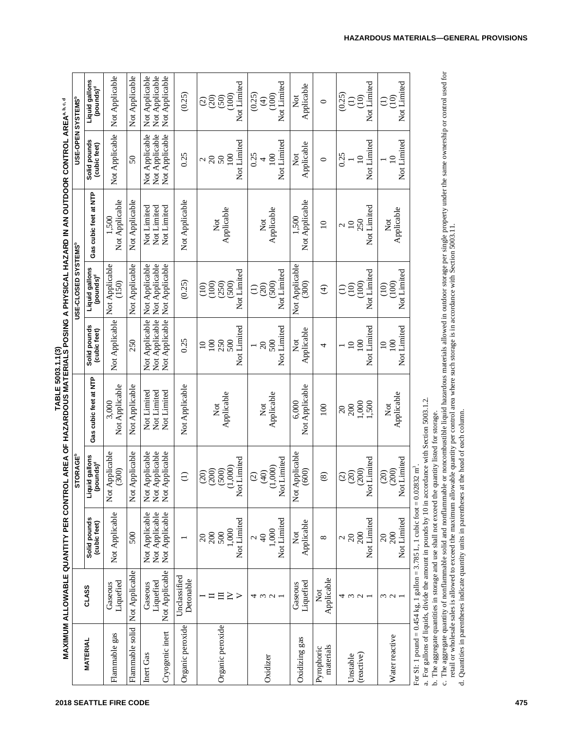|                              |                                        |                                                                                                    |                                                                                                                |                                           |                                                    |                                                    | MAXIMUM ALLOWABLE QUANTITY PER CONTROL AREA OF HAZARDOUS MATERIALS POSING A PHYSICAL HAZARD IN AN OUTDOOR CONTROL AREA <sup>4, b.q.d</sup> |                                                     |                                                           |
|------------------------------|----------------------------------------|----------------------------------------------------------------------------------------------------|----------------------------------------------------------------------------------------------------------------|-------------------------------------------|----------------------------------------------------|----------------------------------------------------|--------------------------------------------------------------------------------------------------------------------------------------------|-----------------------------------------------------|-----------------------------------------------------------|
|                              |                                        |                                                                                                    | <b>STORAGE<sup>b</sup></b>                                                                                     |                                           |                                                    | USE-CLOSED SYSTEMS <sup>b</sup>                    |                                                                                                                                            |                                                     | USE-OPEN SYSTEMS <sup>b</sup>                             |
| <b>MATERIAL</b>              | CLASS                                  | Solid pounds<br>(cubic feet)                                                                       | Liquid gallons<br>(pounds) <sup>d</sup>                                                                        | Gas cubic feet at NTP                     | Solid pounds<br>(cubic feet)                       | Liquid gallons<br>pounds) <sup>d</sup>             | Gas cubic feet at NTP                                                                                                                      | Solid pounds<br>(cubic feet)                        | Liquid gallons<br>(pounds) <sup>d</sup>                   |
| Flammable gas                | Liquefied<br>Gaseous                   | Not Applicable                                                                                     | Applicable<br>(300)<br>Not                                                                                     | Not Applicable<br>3,000                   | Not Applicable                                     | Not Applicable<br>(150)                            | Not Applicable<br>1,500                                                                                                                    | Not Applicable                                      | Not Applicable                                            |
| Flammable solid              | Not Applicable                         | 500                                                                                                | Applicable<br>Not                                                                                              | Not Applicable                            | 250                                                | Not Applicable                                     | Not Applicable                                                                                                                             | 50                                                  | Not Applicable                                            |
| Cryogenic inert<br>Inert Gas | Not Applicable<br>Liquefied<br>Gaseous | Not Applicable<br>Not Applicable<br>Not Applicable                                                 | Applicable<br>Applicable<br>Applicable<br>$\overline{\text{Not}}$<br>$\overline{\text{R}}$<br>$\sum_{i=1}^{n}$ | Not Limited<br>Not Limited<br>Not Limited | Not Applicable<br>Not Applicable<br>Not Applicable | Not Applicable<br>Not Applicable<br>Not Applicable | Not Limited<br>Not Limited<br>Not Limited                                                                                                  | Not Applicable<br>Not Applicable<br>Not Applicable  | Not Applicable<br>Not Applicable<br>Not Applicable        |
| Organic peroxide             | Unclassified<br>Detonable              |                                                                                                    | $\ominus$                                                                                                      | Not Applicable                            | 0.25                                               | (0.25)                                             | Not Applicable                                                                                                                             | 0.25                                                | (0.25)                                                    |
| Organic peroxide             | $\geq$<br>目                            | Not Limited<br>1,000<br><u>ສ</u> ິສິ                                                               | Not Limited<br>(1,000)<br>(200)<br>(500)<br>(20)                                                               | Applicable<br>$\overline{\text{Not}}$     | Not Limited<br>250<br>500<br>100<br>$\Omega$       | Not Limited<br>(250)<br>(100)<br>(500)<br>(10)     | Applicable<br>$\overline{\mathrm{N}}$ ot                                                                                                   | Not Limited<br>100<br>$\approx$ $\approx$ $\approx$ | Not Limited<br>(100)<br>(50)<br>(20)<br>$\widehat{\odot}$ |
| Oxidizer                     | 4 w u -                                | Not Limited<br>1,000<br>$\frac{4}{9}$                                                              | Not Limited<br>(1,000)<br>(40)<br>$\widehat{c}$                                                                | Applicable<br>$\overline{\text{2}}$       | Not Limited<br>500<br>$\overline{c}$               | Not Limited<br>(500)<br>(20)<br>$\widehat{\Xi}$    | Applicable<br>$\overline{\text{N}}$ ot                                                                                                     | Not Limited<br>0.25<br>100<br>4                     | Not Limited<br>(0.25)<br>(100)<br>$\bigoplus$             |
| Oxidizing gas                | Liquefied<br>Gaseous                   | Applicable<br>Not                                                                                  | Applicable<br>(600)<br>$\sum_{i=1}^{n}$                                                                        | Not Applicable<br>6.000                   | Applicable<br><b>Not</b>                           | Not Applicable<br>(300)                            | Not Applicable<br>1,500                                                                                                                    | Applicable<br>$\sum_{i=1}^{n}$                      | Applicable<br>Χõ                                          |
| materials<br>Pyrophoric      | Applicable<br>Not                      | ${}^{\infty}$                                                                                      | $\circledast$                                                                                                  | $\overline{00}$                           | 4                                                  | $\widehat{\mathcal{F}}$                            | $\overline{10}$                                                                                                                            | $\bullet$                                           | $\circ$                                                   |
| (reactive)<br>Unstable       | 4<br>$\omega$ $\omega$ $-$             | Not Limited<br>200<br>$20\,$<br>$\mathcal{L}$                                                      | Not Limited<br>(200)<br>(20)<br>$\widehat{c}$                                                                  | 1,000<br>500<br>200<br>$\overline{20}$    | Not Limited<br>100<br>$\Omega$                     | Not Limited<br>(100)<br>(10)<br>Э                  | Not Limited<br>250<br>$\overline{10}$<br>Z                                                                                                 | Not Limited<br>0.25<br>$\approx$                    | Not Limited<br>(0.25)<br>$\dot{10}$<br>$\ominus$          |
| Water reactive               | $\omega$ $\omega$                      | Not Limited<br>200<br>20                                                                           | Not Limited<br>(200)<br>(20)                                                                                   | Applicable<br>$\overline{\text{2}}$       | Not Limited<br>100<br>$\Omega$                     | Not Limited<br>(100)<br>(10)                       | Applicable<br>$\overline{\text{N}}$ ot                                                                                                     | Not Limited<br>$\approx$                            | Not Limited<br>(10)<br>Э                                  |
|                              |                                        | $\frac{1}{2}$ or SI: 1 nound = 0.454 ke, 1 eallen = 3.785 L, 1 cubic foot = 0.02832 m <sup>3</sup> |                                                                                                                |                                           |                                                    |                                                    |                                                                                                                                            |                                                     |                                                           |

**TABLE 5003.1.1(3)**

For SI: 1 pound = 0.454 kg, 1 gallon = 3.785 L, 1 cubic foot = 0.02832 m m\_'

a. For gallons of liquids, divide the amount in pounds by 10 in accordance with Section 5003.1.2.

b. The aggregate quantities in storage and use shall not exceed the quantity listed for storage.

b. The aggregate quantities in storage and use shall not exceed the quantity listed for storage.<br>c. The aggregate quantity of nonflammable solid and nonflammable or noncombustible liquid hazardous materials allowed in outd mable or noncombustible liquid hazardous materials allowed in outdoor storage per single property under the same ownership or control used for retail or wholesale sales is allowed to exceed the maximum allowable quantity per control area where such storage is in accordance with Section 5003.11. mable solid and nonflam c. The aggregate quantity of nonflam  $\vec{a}$ 

Quantities in parentheses indicate quantity units in parentheses at the head of each column. d. Quantities in parentheses indicate quantity units in parentheses at the head of each column.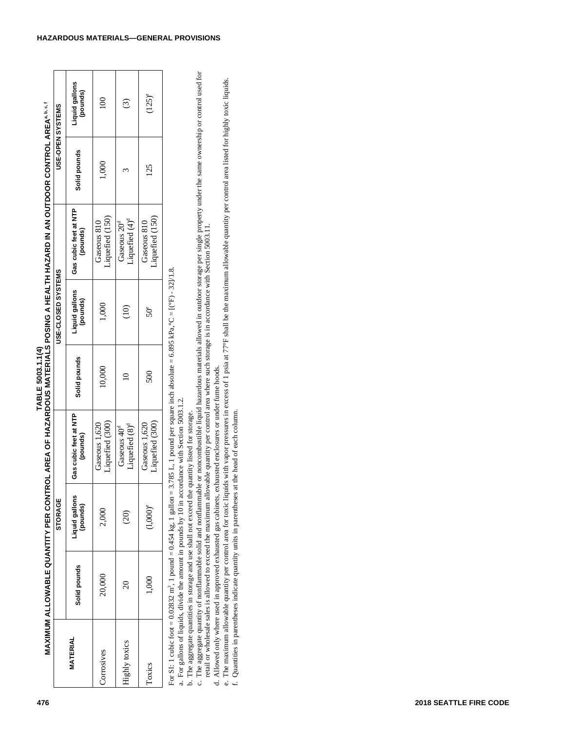| 476                    |                         |                                                                                       |                            | MAXIMUM ALLOWABLE QUANTITY PER CONTROL AREA OF HAZARDOUS MATERIALS POSING A HEALTH HAZARD IN AN OUTDOOR CONTROL AREA <sup>s, D.</sup> S.<br>MAXIMUM ALLOWABLE QUANTITY PER CONTROL AREA OF HAZARDOUS MATERIALS POSING A HEALTH HAZARD IN AN                                                                                                                                                                                                                                                      |              |                            |                                                                                                                                                                                                                                                                                                                                                                                                                                                  |              |                            |
|------------------------|-------------------------|---------------------------------------------------------------------------------------|----------------------------|--------------------------------------------------------------------------------------------------------------------------------------------------------------------------------------------------------------------------------------------------------------------------------------------------------------------------------------------------------------------------------------------------------------------------------------------------------------------------------------------------|--------------|----------------------------|--------------------------------------------------------------------------------------------------------------------------------------------------------------------------------------------------------------------------------------------------------------------------------------------------------------------------------------------------------------------------------------------------------------------------------------------------|--------------|----------------------------|
|                        |                         |                                                                                       | STORAGE                    |                                                                                                                                                                                                                                                                                                                                                                                                                                                                                                  |              | USE-CLOSED SYSTEMS         |                                                                                                                                                                                                                                                                                                                                                                                                                                                  |              | USE-OPEN SYSTEMS           |
|                        | <b>MATERIAL</b>         | Solid pounds                                                                          | Liquid gallons<br>(pounds) | Gas cubic feet at NTP<br>(pounds)                                                                                                                                                                                                                                                                                                                                                                                                                                                                | Solid pounds | Liquid gallons<br>(pounds) | Gas cubic feet at NTP<br>(pounds)                                                                                                                                                                                                                                                                                                                                                                                                                | Solid pounds | Liquid gallons<br>(pounds) |
|                        | Corrosives              | 20,000                                                                                | 2,000                      | Liquefied (300)<br>Gaseous 1,620                                                                                                                                                                                                                                                                                                                                                                                                                                                                 | 10,000       | $1,000$                    | Liquefied (150)<br>Gaseous 810                                                                                                                                                                                                                                                                                                                                                                                                                   | 1,000        | 100                        |
|                        | Highly toxics           | $\Omega$                                                                              | (20)                       | Liquefied (8) <sup>d</sup><br>Gaseous 40 <sup>d</sup>                                                                                                                                                                                                                                                                                                                                                                                                                                            | $\Omega$     | (10)                       | Liquefied (4) <sup>d</sup><br>Gaseous 20 <sup>d</sup>                                                                                                                                                                                                                                                                                                                                                                                            | $\epsilon$   | $\odot$                    |
|                        | Toxics                  | 1,000                                                                                 | $(1,000)$ <sup>e</sup>     | Liquefied (300)<br>Gaseous 1,620                                                                                                                                                                                                                                                                                                                                                                                                                                                                 | 500          | $50^{\circ}$               | Liquefied (150)<br>Gaseous 810                                                                                                                                                                                                                                                                                                                                                                                                                   | 125          | $(125)^e$                  |
| 2018 SEATTLE FIRE CODE | $\vec{0}$<br>$\epsilon$ | For SI: 1 cubic foot = $0.02832$ m <sup>3</sup> , 1 pound = $0.454$ kg, 1 gallon = 3. |                            | .785 L, 1 pound per square inch absolute = 6.895 kPa, °C = $[(°F) - 32]/1.8$<br>d. Allowed only where used in approved exhausted gas cabinets, exhausted enclosures or under fume hoods.<br>a. For gallons of liquids, divide the amount in pounds by 10 in accordance with Section 5003.1.2.<br>Quantities in parentheses indicate quantity units in parentheses at the head of each column<br>b. The aggregate quantities in storage and use shall not exceed the quantity listed for storage. |              |                            | c. The aggregate quantity of nonflammable solid and nonflammable or noncombustible liquid hazardous materials allowed in outdoor storage per single property under the same ownership or control used for<br>retail or wholesale<br>The maximum allowable quantity per control area for toxic liquids with vapor pressures in excess of 1 psia at 77°F shall be the maximum allowable quantity per control area listed for highly toxic liquids. |              |                            |
|                        |                         |                                                                                       |                            |                                                                                                                                                                                                                                                                                                                                                                                                                                                                                                  |              |                            |                                                                                                                                                                                                                                                                                                                                                                                                                                                  |              |                            |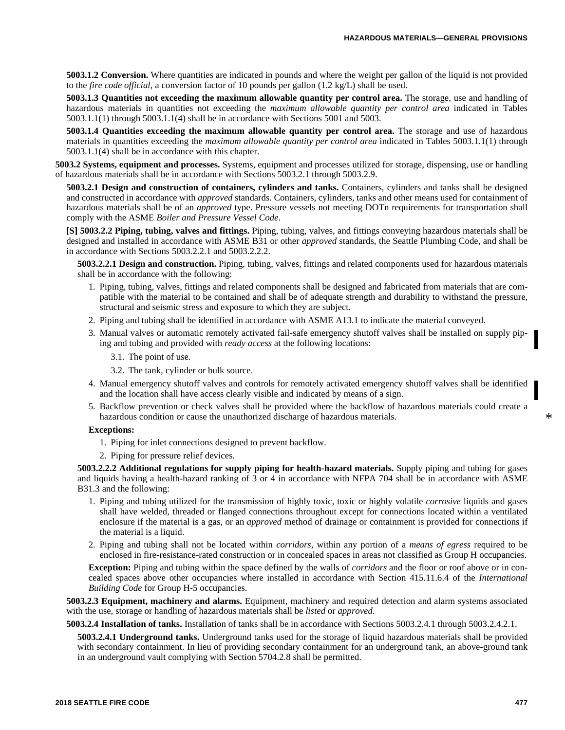**5003.1.2 Conversion.** Where quantities are indicated in pounds and where the weight per gallon of the liquid is not provided to the *fire code official*, a conversion factor of 10 pounds per gallon (1.2 kg/L) shall be used.

**5003.1.3 Quantities not exceeding the maximum allowable quantity per control area.** The storage, use and handling of hazardous materials in quantities not exceeding the *maximum allowable quantity per control area* indicated in Tables 5003.1.1(1) through 5003.1.1(4) shall be in accordance with Sections 5001 and 5003.

**5003.1.4 Quantities exceeding the maximum allowable quantity per control area.** The storage and use of hazardous materials in quantities exceeding the *maximum allowable quantity per control area* indicated in Tables 5003.1.1(1) through 5003.1.1(4) shall be in accordance with this chapter.

**5003.2 Systems, equipment and processes.** Systems, equipment and processes utilized for storage, dispensing, use or handling of hazardous materials shall be in accordance with Sections 5003.2.1 through 5003.2.9.

**5003.2.1 Design and construction of containers, cylinders and tanks.** Containers, cylinders and tanks shall be designed and constructed in accordance with *approved* standards. Containers, cylinders, tanks and other means used for containment of hazardous materials shall be of an *approved* type. Pressure vessels not meeting DOTn requirements for transportation shall comply with the ASME *Boiler and Pressure Vessel Code*.

**[S] 5003.2.2 Piping, tubing, valves and fittings.** Piping, tubing, valves, and fittings conveying hazardous materials shall be designed and installed in accordance with ASME B31 or other *approved* standards, the Seattle Plumbing Code, and shall be in accordance with Sections 5003.2.2.1 and 5003.2.2.2.

**5003.2.2.1 Design and construction.** Piping, tubing, valves, fittings and related components used for hazardous materials shall be in accordance with the following:

- 1. Piping, tubing, valves, fittings and related components shall be designed and fabricated from materials that are compatible with the material to be contained and shall be of adequate strength and durability to withstand the pressure, structural and seismic stress and exposure to which they are subject.
- 2. Piping and tubing shall be identified in accordance with ASME A13.1 to indicate the material conveyed.
- 3. Manual valves or automatic remotely activated fail-safe emergency shutoff valves shall be installed on supply piping and tubing and provided with *ready access* at the following locations:
	- 3.1. The point of use.
	- 3.2. The tank, cylinder or bulk source.
- 4. Manual emergency shutoff valves and controls for remotely activated emergency shutoff valves shall be identified and the location shall have access clearly visible and indicated by means of a sign.
- 5. Backflow prevention or check valves shall be provided where the backflow of hazardous materials could create a hazardous condition or cause the unauthorized discharge of hazardous materials.

#### **Exceptions:**

- 1. Piping for inlet connections designed to prevent backflow.
- 2. Piping for pressure relief devices.

**5003.2.2.2 Additional regulations for supply piping for health-hazard materials.** Supply piping and tubing for gases and liquids having a health-hazard ranking of 3 or 4 in accordance with NFPA 704 shall be in accordance with ASME B31.3 and the following:

- 1. Piping and tubing utilized for the transmission of highly toxic, toxic or highly volatile *corrosive* liquids and gases shall have welded, threaded or flanged connections throughout except for connections located within a ventilated enclosure if the material is a gas, or an *approved* method of drainage or containment is provided for connections if the material is a liquid.
- 2. Piping and tubing shall not be located within *corridors*, within any portion of a *means of egress* required to be enclosed in fire-resistance-rated construction or in concealed spaces in areas not classified as Group H occupancies.

**Exception:** Piping and tubing within the space defined by the walls of *corridors* and the floor or roof above or in concealed spaces above other occupancies where installed in accordance with Section 415.11.6.4 of the *International Building Code* for Group H-5 occupancies.

**5003.2.3 Equipment, machinery and alarms.** Equipment, machinery and required detection and alarm systems associated with the use, storage or handling of hazardous materials shall be *listed* or *approved*.

**5003.2.4 Installation of tanks.** Installation of tanks shall be in accordance with Sections 5003.2.4.1 through 5003.2.4.2.1.

**5003.2.4.1 Underground tanks.** Underground tanks used for the storage of liquid hazardous materials shall be provided with secondary containment. In lieu of providing secondary containment for an underground tank, an above-ground tank in an underground vault complying with Section 5704.2.8 shall be permitted.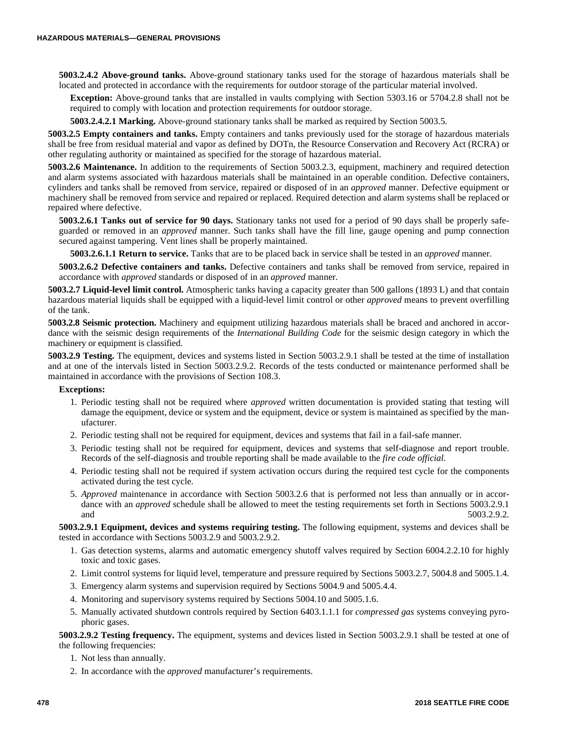**5003.2.4.2 Above-ground tanks.** Above-ground stationary tanks used for the storage of hazardous materials shall be located and protected in accordance with the requirements for outdoor storage of the particular material involved.

**Exception:** Above-ground tanks that are installed in vaults complying with Section 5303.16 or 5704.2.8 shall not be required to comply with location and protection requirements for outdoor storage.

**5003.2.4.2.1 Marking.** Above-ground stationary tanks shall be marked as required by Section 5003.5.

**5003.2.5 Empty containers and tanks.** Empty containers and tanks previously used for the storage of hazardous materials shall be free from residual material and vapor as defined by DOTn, the Resource Conservation and Recovery Act (RCRA) or other regulating authority or maintained as specified for the storage of hazardous material.

**5003.2.6 Maintenance.** In addition to the requirements of Section 5003.2.3, equipment, machinery and required detection and alarm systems associated with hazardous materials shall be maintained in an operable condition. Defective containers, cylinders and tanks shall be removed from service, repaired or disposed of in an *approved* manner. Defective equipment or machinery shall be removed from service and repaired or replaced. Required detection and alarm systems shall be replaced or repaired where defective.

**5003.2.6.1 Tanks out of service for 90 days.** Stationary tanks not used for a period of 90 days shall be properly safeguarded or removed in an *approved* manner. Such tanks shall have the fill line, gauge opening and pump connection secured against tampering. Vent lines shall be properly maintained.

**5003.2.6.1.1 Return to service.** Tanks that are to be placed back in service shall be tested in an *approved* manner.

**5003.2.6.2 Defective containers and tanks.** Defective containers and tanks shall be removed from service, repaired in accordance with *approved* standards or disposed of in an *approved* manner.

**5003.2.7 Liquid-level limit control.** Atmospheric tanks having a capacity greater than 500 gallons (1893 L) and that contain hazardous material liquids shall be equipped with a liquid-level limit control or other *approved* means to prevent overfilling of the tank.

**5003.2.8 Seismic protection.** Machinery and equipment utilizing hazardous materials shall be braced and anchored in accordance with the seismic design requirements of the *International Building Code* for the seismic design category in which the machinery or equipment is classified.

**5003.2.9 Testing.** The equipment, devices and systems listed in Section 5003.2.9.1 shall be tested at the time of installation and at one of the intervals listed in Section 5003.2.9.2. Records of the tests conducted or maintenance performed shall be maintained in accordance with the provisions of Section 108.3.

#### **Exceptions:**

- 1. Periodic testing shall not be required where *approved* written documentation is provided stating that testing will damage the equipment, device or system and the equipment, device or system is maintained as specified by the manufacturer.
- 2. Periodic testing shall not be required for equipment, devices and systems that fail in a fail-safe manner.
- 3. Periodic testing shall not be required for equipment, devices and systems that self-diagnose and report trouble. Records of the self-diagnosis and trouble reporting shall be made available to the *fire code official.*
- 4. Periodic testing shall not be required if system activation occurs during the required test cycle for the components activated during the test cycle.
- 5. *Approved* maintenance in accordance with Section 5003.2.6 that is performed not less than annually or in accordance with an *approved* schedule shall be allowed to meet the testing requirements set forth in Sections 5003.2.9.1 and 5003.2.9.2.

**5003.2.9.1 Equipment, devices and systems requiring testing.** The following equipment, systems and devices shall be tested in accordance with Sections 5003.2.9 and 5003.2.9.2.

- 1. Gas detection systems, alarms and automatic emergency shutoff valves required by Section 6004.2.2.10 for highly toxic and toxic gases.
- 2. Limit control systems for liquid level, temperature and pressure required by Sections 5003.2.7, 5004.8 and 5005.1.4.
- 3. Emergency alarm systems and supervision required by Sections 5004.9 and 5005.4.4.
- 4. Monitoring and supervisory systems required by Sections 5004.10 and 5005.1.6.
- 5. Manually activated shutdown controls required by Section 6403.1.1.1 for *compressed gas* systems conveying pyrophoric gases.

**5003.2.9.2 Testing frequency.** The equipment, systems and devices listed in Section 5003.2.9.1 shall be tested at one of the following frequencies:

- 1. Not less than annually.
- 2. In accordance with the *approved* manufacturer's requirements.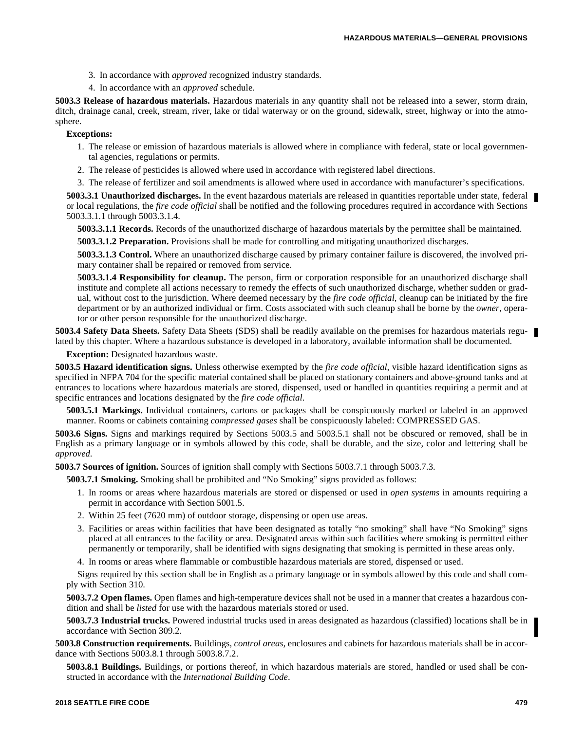- 3. In accordance with *approved* recognized industry standards.
- 4. In accordance with an *approved* schedule.

**5003.3 Release of hazardous materials.** Hazardous materials in any quantity shall not be released into a sewer, storm drain, ditch, drainage canal, creek, stream, river, lake or tidal waterway or on the ground, sidewalk, street, highway or into the atmosphere.

**Exceptions:**

- 1. The release or emission of hazardous materials is allowed where in compliance with federal, state or local governmental agencies, regulations or permits.
- 2. The release of pesticides is allowed where used in accordance with registered label directions.
- 3. The release of fertilizer and soil amendments is allowed where used in accordance with manufacturer's specifications.

**5003.3.1 Unauthorized discharges.** In the event hazardous materials are released in quantities reportable under state, federal or local regulations, the *fire code official* shall be notified and the following procedures required in accordance with Sections 5003.3.1.1 through 5003.3.1.4.

**5003.3.1.1 Records.** Records of the unauthorized discharge of hazardous materials by the permittee shall be maintained.

**5003.3.1.2 Preparation.** Provisions shall be made for controlling and mitigating unauthorized discharges.

**5003.3.1.3 Control.** Where an unauthorized discharge caused by primary container failure is discovered, the involved primary container shall be repaired or removed from service.

**5003.3.1.4 Responsibility for cleanup.** The person, firm or corporation responsible for an unauthorized discharge shall institute and complete all actions necessary to remedy the effects of such unauthorized discharge, whether sudden or gradual, without cost to the jurisdiction. Where deemed necessary by the *fire code official*, cleanup can be initiated by the fire department or by an authorized individual or firm. Costs associated with such cleanup shall be borne by the *owner*, operator or other person responsible for the unauthorized discharge.

**5003.4 Safety Data Sheets.** Safety Data Sheets (SDS) shall be readily available on the premises for hazardous materials regulated by this chapter. Where a hazardous substance is developed in a laboratory, available information shall be documented.

**Exception:** Designated hazardous waste.

**5003.5 Hazard identification signs.** Unless otherwise exempted by the *fire code official*, visible hazard identification signs as specified in NFPA 704 for the specific material contained shall be placed on stationary containers and above-ground tanks and at entrances to locations where hazardous materials are stored, dispensed, used or handled in quantities requiring a permit and at specific entrances and locations designated by the *fire code official*.

**5003.5.1 Markings.** Individual containers, cartons or packages shall be conspicuously marked or labeled in an approved manner. Rooms or cabinets containing *compressed gases* shall be conspicuously labeled: COMPRESSED GAS.

**5003.6 Signs.** Signs and markings required by Sections 5003.5 and 5003.5.1 shall not be obscured or removed, shall be in English as a primary language or in symbols allowed by this code, shall be durable, and the size, color and lettering shall be *approved*.

**5003.7 Sources of ignition.** Sources of ignition shall comply with Sections 5003.7.1 through 5003.7.3.

**5003.7.1 Smoking.** Smoking shall be prohibited and "No Smoking" signs provided as follows:

- 1. In rooms or areas where hazardous materials are stored or dispensed or used in *open systems* in amounts requiring a permit in accordance with Section 5001.5.
- 2. Within 25 feet (7620 mm) of outdoor storage, dispensing or open use areas.
- 3. Facilities or areas within facilities that have been designated as totally "no smoking" shall have "No Smoking" signs placed at all entrances to the facility or area. Designated areas within such facilities where smoking is permitted either permanently or temporarily, shall be identified with signs designating that smoking is permitted in these areas only.
- 4. In rooms or areas where flammable or combustible hazardous materials are stored, dispensed or used.

Signs required by this section shall be in English as a primary language or in symbols allowed by this code and shall comply with Section 310.

**5003.7.2 Open flames.** Open flames and high-temperature devices shall not be used in a manner that creates a hazardous condition and shall be *listed* for use with the hazardous materials stored or used.

**5003.7.3 Industrial trucks.** Powered industrial trucks used in areas designated as hazardous (classified) locations shall be in accordance with Section 309.2.

**5003.8 Construction requirements.** Buildings, *control areas*, enclosures and cabinets for hazardous materials shall be in accordance with Sections 5003.8.1 through 5003.8.7.2.

**5003.8.1 Buildings.** Buildings, or portions thereof, in which hazardous materials are stored, handled or used shall be constructed in accordance with the *International Building Code*.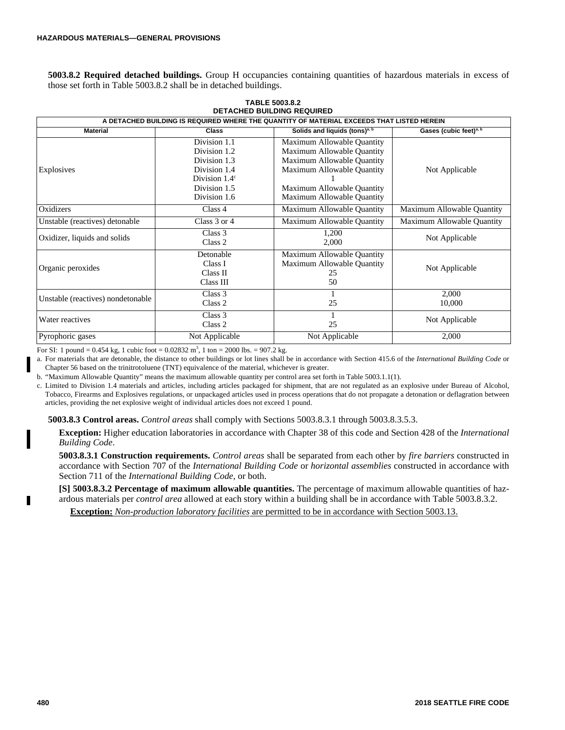**5003.8.2 Required detached buildings.** Group H occupancies containing quantities of hazardous materials in excess of those set forth in Table 5003.8.2 shall be in detached buildings.

|                                   |                                                                                                                        | A DETACHED BUILDING IS REQUIRED WHERE THE QUANTITY OF MATERIAL EXCEEDS THAT LISTED HEREIN                                                                                        |                                    |
|-----------------------------------|------------------------------------------------------------------------------------------------------------------------|----------------------------------------------------------------------------------------------------------------------------------------------------------------------------------|------------------------------------|
| <b>Material</b>                   | Class                                                                                                                  | Solids and liquids (tons) <sup>a, b</sup>                                                                                                                                        | Gases (cubic feet) <sup>a, b</sup> |
| Explosives                        | Division 1.1<br>Division 1.2<br>Division 1.3<br>Division 1.4<br>Division $1.4^{\circ}$<br>Division 1.5<br>Division 1.6 | Maximum Allowable Quantity<br>Maximum Allowable Quantity<br>Maximum Allowable Quantity<br>Maximum Allowable Quantity<br>Maximum Allowable Quantity<br>Maximum Allowable Quantity | Not Applicable                     |
| Oxidizers                         | Class 4                                                                                                                | Maximum Allowable Quantity                                                                                                                                                       | Maximum Allowable Quantity         |
| Unstable (reactives) detonable    | Class $3$ or $4$                                                                                                       | Maximum Allowable Quantity                                                                                                                                                       | Maximum Allowable Quantity         |
| Oxidizer, liquids and solids      | Class 3<br>Class 2                                                                                                     | 1,200<br>2,000                                                                                                                                                                   | Not Applicable                     |
| Organic peroxides                 | Detonable<br>Class I<br>Class II<br>Class III                                                                          | Maximum Allowable Quantity<br>Maximum Allowable Quantity<br>25<br>50                                                                                                             | Not Applicable                     |
| Unstable (reactives) nondetonable | Class 3<br>Class 2                                                                                                     | 25                                                                                                                                                                               | 2,000<br>10,000                    |
| Water reactives                   | Class 3<br>Class 2                                                                                                     | 25                                                                                                                                                                               | Not Applicable                     |
| Pyrophoric gases                  | Not Applicable                                                                                                         | Not Applicable                                                                                                                                                                   | 2,000                              |

**TABLE 5003.8.2 DETACHED BUILDING REQUIRED**

For SI: 1 pound =  $0.454$  kg, 1 cubic foot =  $0.02832$  m<sup>3</sup>, 1 ton =  $2000$  lbs. =  $907.2$  kg.

a. For materials that are detonable, the distance to other buildings or lot lines shall be in accordance with Section 415.6 of the *International Building Code* or Chapter 56 based on the trinitrotoluene (TNT) equivalence of the material, whichever is greater.

b. "Maximum Allowable Quantity" means the maximum allowable quantity per control area set forth in Table 5003.1.1(1).

c. Limited to Division 1.4 materials and articles, including articles packaged for shipment, that are not regulated as an explosive under Bureau of Alcohol, Tobacco, Firearms and Explosives regulations, or unpackaged articles used in process operations that do not propagate a detonation or deflagration between articles, providing the net explosive weight of individual articles does not exceed 1 pound.

**5003.8.3 Control areas.** *Control areas* shall comply with Sections 5003.8.3.1 through 5003.8.3.5.3.

**Exception:** Higher education laboratories in accordance with Chapter 38 of this code and Section 428 of the *International Building Code*.

**5003.8.3.1 Construction requirements.** *Control areas* shall be separated from each other by *fire barriers* constructed in accordance with Section 707 of the *International Building Code* or *horizontal assemblies* constructed in accordance with Section 711 of the *International Building Code*, or both.

**[S] 5003.8.3.2 Percentage of maximum allowable quantities.** The percentage of maximum allowable quantities of hazardous materials per *control area* allowed at each story within a building shall be in accordance with Table 5003.8.3.2.

**Exception:** *Non-production laboratory facilities* are permitted to be in accordance with Section 5003.13.

Г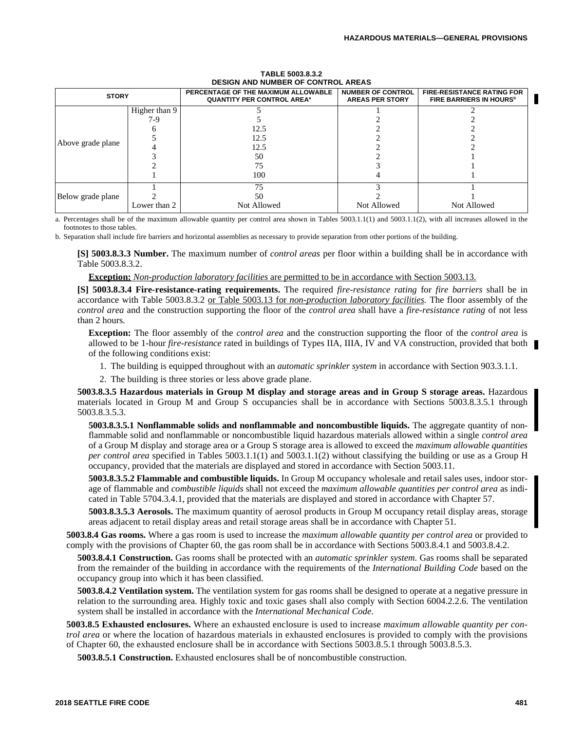|                   |               | <b>DESIGN AND NUMBER OF CONTROL AREAS</b>                                           |                                                    |                                                                    |
|-------------------|---------------|-------------------------------------------------------------------------------------|----------------------------------------------------|--------------------------------------------------------------------|
| <b>STORY</b>      |               | PERCENTAGE OF THE MAXIMUM ALLOWABLE<br><b>QUANTITY PER CONTROL AREA<sup>a</sup></b> | <b>NUMBER OF CONTROL</b><br><b>AREAS PER STORY</b> | <b>FIRE-RESISTANCE RATING FOR</b><br><b>FIRE BARRIERS IN HOURS</b> |
|                   | Higher than 9 |                                                                                     |                                                    |                                                                    |
|                   | 7-9           |                                                                                     |                                                    |                                                                    |
|                   |               | 12.5                                                                                |                                                    |                                                                    |
|                   |               | 12.5                                                                                |                                                    |                                                                    |
| Above grade plane |               | 12.5                                                                                |                                                    |                                                                    |
|                   |               | 50                                                                                  |                                                    |                                                                    |
|                   |               | 75                                                                                  |                                                    |                                                                    |
|                   |               | 100                                                                                 |                                                    |                                                                    |
|                   |               | 75                                                                                  |                                                    |                                                                    |
| Below grade plane |               | 50                                                                                  |                                                    |                                                                    |
|                   | Lower than 2  | Not Allowed                                                                         | Not Allowed                                        | Not Allowed                                                        |

#### **TABLE 5003.8.3.2 DESIGN AND NUMBER OF CONTROL AREAS**

a. Percentages shall be of the maximum allowable quantity per control area shown in Tables 5003.1.1(1) and 5003.1.1(2), with all increases allowed in the footnotes to those tables.

b. Separation shall include fire barriers and horizontal assemblies as necessary to provide separation from other portions of the building.

**[S] 5003.8.3.3 Number.** The maximum number of *control areas* per floor within a building shall be in accordance with Table 5003.8.3.2.

#### **Exception:** *Non-production laboratory facilities* are permitted to be in accordance with Section 5003.13.

**[S] 5003.8.3.4 Fire-resistance-rating requirements.** The required *fire-resistance rating* for *fire barriers* shall be in accordance with Table 5003.8.3.2 or Table 5003.13 for *non-production laboratory facilities.* The floor assembly of the *control area* and the construction supporting the floor of the *control area* shall have a *fire-resistance rating* of not less than 2 hours*.*

**Exception:** The floor assembly of the *control area* and the construction supporting the floor of the *control area* is allowed to be 1-hour *fire-resistance* rated in buildings of Types IIA, IIIA, IV and VA construction, provided that both of the following conditions exist:

- 1. The building is equipped throughout with an *automatic sprinkler system* in accordance with Section 903.3.1.1.
- 2. The building is three stories or less above grade plane.

**5003.8.3.5 Hazardous materials in Group M display and storage areas and in Group S storage areas.** Hazardous materials located in Group M and Group S occupancies shall be in accordance with Sections 5003.8.3.5.1 through 5003.8.3.5.3.

**5003.8.3.5.1 Nonflammable solids and nonflammable and noncombustible liquids.** The aggregate quantity of nonflammable solid and nonflammable or noncombustible liquid hazardous materials allowed within a single *control area* of a Group M display and storage area or a Group S storage area is allowed to exceed the *maximum allowable quantities per control area* specified in Tables 5003.1.1(1) and 5003.1.1(2) without classifying the building or use as a Group H occupancy, provided that the materials are displayed and stored in accordance with Section 5003.11.

**5003.8.3.5.2 Flammable and combustible liquids.** In Group M occupancy wholesale and retail sales uses, indoor storage of flammable and *combustible liquids* shall not exceed the *maximum allowable quantities per control area* as indicated in Table 5704.3.4.1, provided that the materials are displayed and stored in accordance with Chapter 57.

**5003.8.3.5.3 Aerosols.** The maximum quantity of aerosol products in Group M occupancy retail display areas, storage areas adjacent to retail display areas and retail storage areas shall be in accordance with Chapter 51.

**5003.8.4 Gas rooms.** Where a gas room is used to increase the *maximum allowable quantity per control area* or provided to comply with the provisions of Chapter 60, the gas room shall be in accordance with Sections 5003.8.4.1 and 5003.8.4.2.

**5003.8.4.1 Construction.** Gas rooms shall be protected with an *automatic sprinkler system.* Gas rooms shall be separated from the remainder of the building in accordance with the requirements of the *International Building Code* based on the occupancy group into which it has been classified.

**5003.8.4.2 Ventilation system.** The ventilation system for gas rooms shall be designed to operate at a negative pressure in relation to the surrounding area. Highly toxic and toxic gases shall also comply with Section 6004.2.2.6. The ventilation system shall be installed in accordance with the *International Mechanical Code.*

**5003.8.5 Exhausted enclosures.** Where an exhausted enclosure is used to increase *maximum allowable quantity per control area* or where the location of hazardous materials in exhausted enclosures is provided to comply with the provisions of Chapter 60, the exhausted enclosure shall be in accordance with Sections 5003.8.5.1 through 5003.8.5.3.

**5003.8.5.1 Construction.** Exhausted enclosures shall be of noncombustible construction.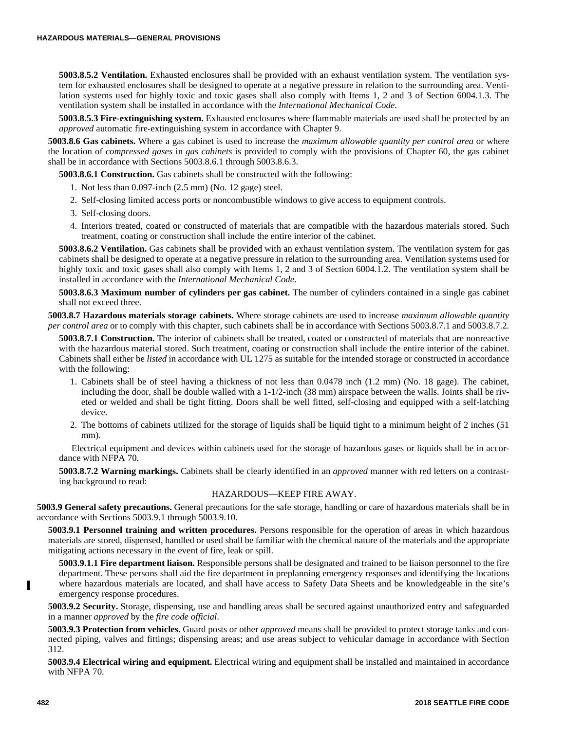**5003.8.5.2 Ventilation.** Exhausted enclosures shall be provided with an exhaust ventilation system. The ventilation system for exhausted enclosures shall be designed to operate at a negative pressure in relation to the surrounding area. Ventilation systems used for highly toxic and toxic gases shall also comply with Items 1, 2 and 3 of Section 6004.1.3. The ventilation system shall be installed in accordance with the *International Mechanical Code*.

**5003.8.5.3 Fire-extinguishing system.** Exhausted enclosures where flammable materials are used shall be protected by an *approved* automatic fire-extinguishing system in accordance with Chapter 9.

**5003.8.6 Gas cabinets.** Where a gas cabinet is used to increase the *maximum allowable quantity per control area* or where the location of *compressed gases* in *gas cabinets* is provided to comply with the provisions of Chapter 60, the gas cabinet shall be in accordance with Sections 5003.8.6.1 through 5003.8.6.3.

**5003.8.6.1 Construction.** Gas cabinets shall be constructed with the following:

- 1. Not less than 0.097-inch (2.5 mm) (No. 12 gage) steel.
- 2. Self-closing limited access ports or noncombustible windows to give access to equipment controls.
- 3. Self-closing doors.
- 4. Interiors treated, coated or constructed of materials that are compatible with the hazardous materials stored. Such treatment, coating or construction shall include the entire interior of the cabinet.

**5003.8.6.2 Ventilation.** Gas cabinets shall be provided with an exhaust ventilation system. The ventilation system for gas cabinets shall be designed to operate at a negative pressure in relation to the surrounding area. Ventilation systems used for highly toxic and toxic gases shall also comply with Items 1, 2 and 3 of Section 6004.1.2. The ventilation system shall be installed in accordance with the *International Mechanical Code*.

**5003.8.6.3 Maximum number of cylinders per gas cabinet.** The number of cylinders contained in a single gas cabinet shall not exceed three.

**5003.8.7 Hazardous materials storage cabinets.** Where storage cabinets are used to increase *maximum allowable quantity per control area* or to comply with this chapter, such cabinets shall be in accordance with Sections 5003.8.7.1 and 5003.8.7.2.

**5003.8.7.1 Construction.** The interior of cabinets shall be treated, coated or constructed of materials that are nonreactive with the hazardous material stored. Such treatment, coating or construction shall include the entire interior of the cabinet. Cabinets shall either be *listed* in accordance with UL 1275 as suitable for the intended storage or constructed in accordance with the following:

- 1. Cabinets shall be of steel having a thickness of not less than 0.0478 inch (1.2 mm) (No. 18 gage). The cabinet, including the door, shall be double walled with a  $1-1/2$ -inch (38 mm) airspace between the walls. Joints shall be riveted or welded and shall be tight fitting. Doors shall be well fitted, self-closing and equipped with a self-latching device.
- 2. The bottoms of cabinets utilized for the storage of liquids shall be liquid tight to a minimum height of 2 inches (51 mm).

Electrical equipment and devices within cabinets used for the storage of hazardous gases or liquids shall be in accordance with NFPA 70.

**5003.8.7.2 Warning markings.** Cabinets shall be clearly identified in an *approved* manner with red letters on a contrasting background to read:

# HAZARDOUS—KEEP FIRE AWAY.

**5003.9 General safety precautions.** General precautions for the safe storage, handling or care of hazardous materials shall be in accordance with Sections 5003.9.1 through 5003.9.10.

**5003.9.1 Personnel training and written procedures.** Persons responsible for the operation of areas in which hazardous materials are stored, dispensed, handled or used shall be familiar with the chemical nature of the materials and the appropriate mitigating actions necessary in the event of fire, leak or spill.

**5003.9.1.1 Fire department liaison.** Responsible persons shall be designated and trained to be liaison personnel to the fire department. These persons shall aid the fire department in preplanning emergency responses and identifying the locations where hazardous materials are located, and shall have access to Safety Data Sheets and be knowledgeable in the site's emergency response procedures.

**5003.9.2 Security.** Storage, dispensing, use and handling areas shall be secured against unauthorized entry and safeguarded in a manner *approved* by the *fire code official*.

**5003.9.3 Protection from vehicles.** Guard posts or other *approved* means shall be provided to protect storage tanks and connected piping, valves and fittings; dispensing areas; and use areas subject to vehicular damage in accordance with Section 312.

**5003.9.4 Electrical wiring and equipment.** Electrical wiring and equipment shall be installed and maintained in accordance with NFPA 70.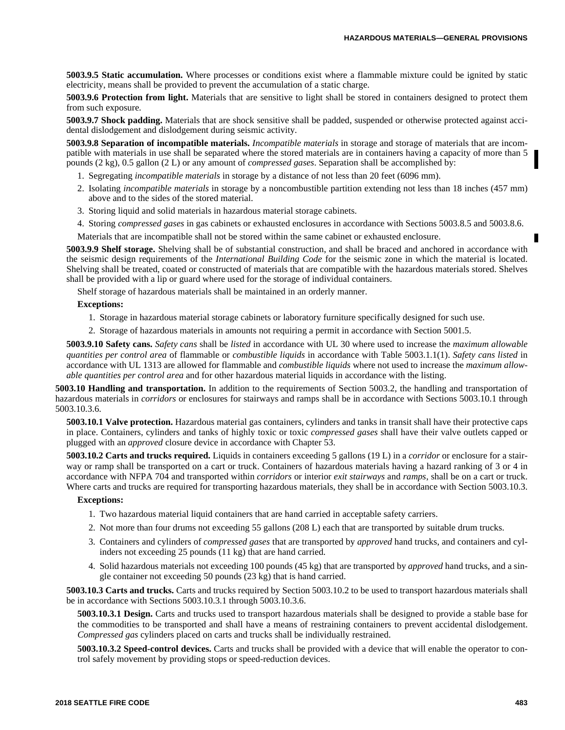**5003.9.5 Static accumulation.** Where processes or conditions exist where a flammable mixture could be ignited by static electricity, means shall be provided to prevent the accumulation of a static charge.

**5003.9.6 Protection from light.** Materials that are sensitive to light shall be stored in containers designed to protect them from such exposure.

**5003.9.7 Shock padding.** Materials that are shock sensitive shall be padded, suspended or otherwise protected against accidental dislodgement and dislodgement during seismic activity.

**5003.9.8 Separation of incompatible materials.** *Incompatible materials* in storage and storage of materials that are incompatible with materials in use shall be separated where the stored materials are in containers having a capacity of more than 5 pounds (2 kg), 0.5 gallon (2 L) or any amount of *compressed gases*. Separation shall be accomplished by:

- 1. Segregating *incompatible materials* in storage by a distance of not less than 20 feet (6096 mm).
- 2. Isolating *incompatible materials* in storage by a noncombustible partition extending not less than 18 inches (457 mm) above and to the sides of the stored material.
- 3. Storing liquid and solid materials in hazardous material storage cabinets.
- 4. Storing *compressed gases* in gas cabinets or exhausted enclosures in accordance with Sections 5003.8.5 and 5003.8.6.
- Materials that are incompatible shall not be stored within the same cabinet or exhausted enclosure.

**5003.9.9 Shelf storage.** Shelving shall be of substantial construction, and shall be braced and anchored in accordance with the seismic design requirements of the *International Building Code* for the seismic zone in which the material is located. Shelving shall be treated, coated or constructed of materials that are compatible with the hazardous materials stored. Shelves shall be provided with a lip or guard where used for the storage of individual containers.

Shelf storage of hazardous materials shall be maintained in an orderly manner.

#### **Exceptions:**

- 1. Storage in hazardous material storage cabinets or laboratory furniture specifically designed for such use.
- 2. Storage of hazardous materials in amounts not requiring a permit in accordance with Section 5001.5.

**5003.9.10 Safety cans.** *Safety cans* shall be *listed* in accordance with UL 30 where used to increase the *maximum allowable quantities per control area* of flammable or *combustible liquids* in accordance with Table 5003.1.1(1). *Safety cans listed* in accordance with UL 1313 are allowed for flammable and *combustible liquids* where not used to increase the *maximum allowable quantities per control area* and for other hazardous material liquids in accordance with the listing.

**5003.10 Handling and transportation.** In addition to the requirements of Section 5003.2, the handling and transportation of hazardous materials in *corridors* or enclosures for stairways and ramps shall be in accordance with Sections 5003.10.1 through 5003.10.3.6.

**5003.10.1 Valve protection.** Hazardous material gas containers, cylinders and tanks in transit shall have their protective caps in place. Containers, cylinders and tanks of highly toxic or toxic *compressed gases* shall have their valve outlets capped or plugged with an *approved* closure device in accordance with Chapter 53.

**5003.10.2 Carts and trucks required.** Liquids in containers exceeding 5 gallons (19 L) in a *corridor* or enclosure for a stairway or ramp shall be transported on a cart or truck. Containers of hazardous materials having a hazard ranking of 3 or 4 in accordance with NFPA 704 and transported within *corridors* or interior *exit stairways* and *ramps*, shall be on a cart or truck. Where carts and trucks are required for transporting hazardous materials, they shall be in accordance with Section 5003.10.3.

#### **Exceptions:**

- 1. Two hazardous material liquid containers that are hand carried in acceptable safety carriers.
- 2. Not more than four drums not exceeding 55 gallons (208 L) each that are transported by suitable drum trucks.
- 3. Containers and cylinders of *compressed gases* that are transported by *approved* hand trucks, and containers and cylinders not exceeding 25 pounds (11 kg) that are hand carried.
- 4. Solid hazardous materials not exceeding 100 pounds (45 kg) that are transported by *approved* hand trucks, and a single container not exceeding 50 pounds (23 kg) that is hand carried.

**5003.10.3 Carts and trucks.** Carts and trucks required by Section 5003.10.2 to be used to transport hazardous materials shall be in accordance with Sections 5003.10.3.1 through 5003.10.3.6.

**5003.10.3.1 Design.** Carts and trucks used to transport hazardous materials shall be designed to provide a stable base for the commodities to be transported and shall have a means of restraining containers to prevent accidental dislodgement. *Compressed gas* cylinders placed on carts and trucks shall be individually restrained.

**5003.10.3.2 Speed-control devices.** Carts and trucks shall be provided with a device that will enable the operator to control safely movement by providing stops or speed-reduction devices.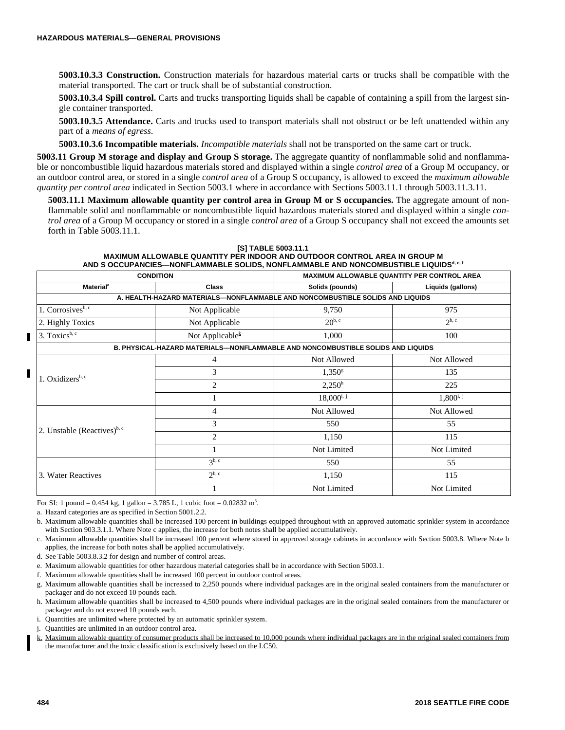**5003.10.3.3 Construction.** Construction materials for hazardous material carts or trucks shall be compatible with the material transported. The cart or truck shall be of substantial construction.

**5003.10.3.4 Spill control.** Carts and trucks transporting liquids shall be capable of containing a spill from the largest single container transported.

**5003.10.3.5 Attendance.** Carts and trucks used to transport materials shall not obstruct or be left unattended within any part of a *means of egress*.

**5003.10.3.6 Incompatible materials.** *Incompatible materials* shall not be transported on the same cart or truck.

**5003.11 Group M storage and display and Group S storage.** The aggregate quantity of nonflammable solid and nonflammable or noncombustible liquid hazardous materials stored and displayed within a single *control area* of a Group M occupancy, or an outdoor control area, or stored in a single *control area* of a Group S occupancy, is allowed to exceed the *maximum allowable quantity per control area* indicated in Section 5003.1 where in accordance with Sections 5003.11.1 through 5003.11.3.11.

**5003.11.1 Maximum allowable quantity per control area in Group M or S occupancies.** The aggregate amount of nonflammable solid and nonflammable or noncombustible liquid hazardous materials stored and displayed within a single *control area* of a Group M occupancy or stored in a single *control area* of a Group S occupancy shall not exceed the amounts set forth in Table 5003.11.1.

|                                         | <b>CONDITION</b>            |                                                                                 | MAXIMUM ALLOWABLE QUANTITY PER CONTROL AREA |
|-----------------------------------------|-----------------------------|---------------------------------------------------------------------------------|---------------------------------------------|
| <b>Material</b> <sup>a</sup>            | <b>Class</b>                | Solids (pounds)                                                                 | Liquids (gallons)                           |
|                                         |                             | A. HEALTH-HAZARD MATERIALS-NONFLAMMABLE AND NONCOMBUSTIBLE SOLIDS AND LIQUIDS   |                                             |
| 1. Corrosives <sup>b, c</sup>           | Not Applicable              | 9,750                                                                           | 975                                         |
| 2. Highly Toxics                        | Not Applicable              | $20^{b, c}$                                                                     | $2^{\mathrm{b},\mathrm{c}}$                 |
| 3. Toxics <sup>b, c</sup>               | Not Applicable $k$          | 1,000                                                                           | 100                                         |
|                                         |                             | B. PHYSICAL-HAZARD MATERIALS—NONFLAMMABLE AND NONCOMBUSTIBLE SOLIDS AND LIQUIDS |                                             |
|                                         | 4                           | Not Allowed                                                                     | Not Allowed                                 |
| 1. Oxidizers <sup>b, c</sup>            | 3                           | $1,350^{\rm g}$                                                                 | 135                                         |
| 2. Unstable (Reactives) <sup>b, c</sup> | $\overline{c}$              | $2,250^{\rm h}$                                                                 | 225                                         |
|                                         |                             | $18,000^{i, j}$                                                                 | $1,800^{i, j}$                              |
|                                         | 4                           | Not Allowed                                                                     | Not Allowed                                 |
|                                         | 3                           | 550                                                                             | 55                                          |
|                                         | 2                           | 1,150                                                                           | 115                                         |
|                                         |                             | Not Limited                                                                     | Not Limited                                 |
|                                         | 3 <sup>b, c</sup>           | 550                                                                             | 55                                          |
| 3. Water Reactives                      | $2^{\mathrm{b},\mathrm{c}}$ | 1,150                                                                           | 115                                         |
|                                         |                             | Not Limited                                                                     | Not Limited                                 |

**[S] TABLE 5003.11.1 MAXIMUM ALLOWABLE QUANTITY PER INDOOR AND OUTDOOR CONTROL AREA IN GROUP M AND S OCCUPANCIES—NONFLAMMABLE SOLIDS, NONFLAMMABLE AND NONCOMBUSTIBLE LIQUIDSd, e, f**

For SI: 1 pound =  $0.454$  kg, 1 gallon =  $3.785$  L, 1 cubic foot =  $0.02832$  m<sup>3</sup>.

a. Hazard categories are as specified in Section 5001.2.2.

b. Maximum allowable quantities shall be increased 100 percent in buildings equipped throughout with an approved automatic sprinkler system in accordance with Section 903.3.1.1. Where Note c applies, the increase for both notes shall be applied accumulatively.

- c. Maximum allowable quantities shall be increased 100 percent where stored in approved storage cabinets in accordance with Section 5003.8. Where Note b applies, the increase for both notes shall be applied accumulatively.
- d. See Table 5003.8.3.2 for design and number of control areas.
- e. Maximum allowable quantities for other hazardous material categories shall be in accordance with Section 5003.1.
- f. Maximum allowable quantities shall be increased 100 percent in outdoor control areas.
- g. Maximum allowable quantities shall be increased to 2,250 pounds where individual packages are in the original sealed containers from the manufacturer or packager and do not exceed 10 pounds each.
- h. Maximum allowable quantities shall be increased to 4,500 pounds where individual packages are in the original sealed containers from the manufacturer or packager and do not exceed 10 pounds each.
- i. Quantities are unlimited where protected by an automatic sprinkler system.
- j. Quantities are unlimited in an outdoor control area.
- k. Maximum allowable quantity of consumer products shall be increased to 10,000 pounds where individual packages are in the original sealed containers from the manufacturer and the toxic classification is exclusively based on the LC50.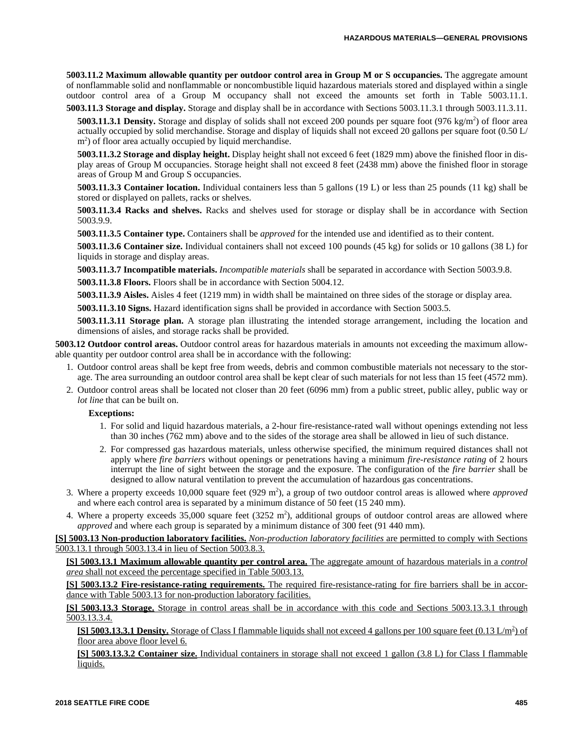**5003.11.2 Maximum allowable quantity per outdoor control area in Group M or S occupancies.** The aggregate amount of nonflammable solid and nonflammable or noncombustible liquid hazardous materials stored and displayed within a single outdoor control area of a Group M occupancy shall not exceed the amounts set forth in Table 5003.11.1.

**5003.11.3 Storage and display.** Storage and display shall be in accordance with Sections 5003.11.3.1 through 5003.11.3.11.

**5003.11.3.1 Density.** Storage and display of solids shall not exceed 200 pounds per square foot  $(976 \text{ kg/m}^2)$  of floor area actually occupied by solid merchandise. Storage and display of liquids shall not exceed 20 gallons per square foot (0.50 L/ m<sup>2</sup>) of floor area actually occupied by liquid merchandise.

**5003.11.3.2 Storage and display height.** Display height shall not exceed 6 feet (1829 mm) above the finished floor in display areas of Group M occupancies. Storage height shall not exceed 8 feet (2438 mm) above the finished floor in storage areas of Group M and Group S occupancies.

**5003.11.3.3 Container location.** Individual containers less than 5 gallons (19 L) or less than 25 pounds (11 kg) shall be stored or displayed on pallets, racks or shelves.

**5003.11.3.4 Racks and shelves.** Racks and shelves used for storage or display shall be in accordance with Section 5003.9.9.

**5003.11.3.5 Container type.** Containers shall be *approved* for the intended use and identified as to their content.

**5003.11.3.6 Container size.** Individual containers shall not exceed 100 pounds (45 kg) for solids or 10 gallons (38 L) for liquids in storage and display areas.

**5003.11.3.7 Incompatible materials.** *Incompatible materials* shall be separated in accordance with Section 5003.9.8.

**5003.11.3.8 Floors.** Floors shall be in accordance with Section 5004.12.

**5003.11.3.9 Aisles.** Aisles 4 feet (1219 mm) in width shall be maintained on three sides of the storage or display area.

**5003.11.3.10 Signs.** Hazard identification signs shall be provided in accordance with Section 5003.5.

**5003.11.3.11 Storage plan.** A storage plan illustrating the intended storage arrangement, including the location and dimensions of aisles, and storage racks shall be provided.

**5003.12 Outdoor control areas.** Outdoor control areas for hazardous materials in amounts not exceeding the maximum allowable quantity per outdoor control area shall be in accordance with the following:

- 1. Outdoor control areas shall be kept free from weeds, debris and common combustible materials not necessary to the storage. The area surrounding an outdoor control area shall be kept clear of such materials for not less than 15 feet (4572 mm).
- 2. Outdoor control areas shall be located not closer than 20 feet (6096 mm) from a public street, public alley, public way or *lot line* that can be built on.

# **Exceptions:**

- 1. For solid and liquid hazardous materials, a 2-hour fire-resistance-rated wall without openings extending not less than 30 inches (762 mm) above and to the sides of the storage area shall be allowed in lieu of such distance.
- 2. For compressed gas hazardous materials, unless otherwise specified, the minimum required distances shall not apply where *fire barriers* without openings or penetrations having a minimum *fire-resistance rating* of 2 hours interrupt the line of sight between the storage and the exposure. The configuration of the *fire barrier* shall be designed to allow natural ventilation to prevent the accumulation of hazardous gas concentrations.
- 3. Where a property exceeds  $10,000$  square feet  $(929 \text{ m}^2)$ , a group of two outdoor control areas is allowed where *approved* and where each control area is separated by a minimum distance of 50 feet (15 240 mm).
- 4. Where a property exceeds  $35,000$  square feet  $(3252 \text{ m}^2)$ , additional groups of outdoor control areas are allowed where *approved* and where each group is separated by a minimum distance of 300 feet (91 440 mm).

**[S] 5003.13 Non-production laboratory facilities.** *Non-production laboratory facilities* are permitted to comply with Sections 5003.13.1 through 5003.13.4 in lieu of Section 5003.8.3.

**[S] 5003.13.1 Maximum allowable quantity per control area.** The aggregate amount of hazardous materials in a *control area* shall not exceed the percentage specified in Table 5003.13.

**[S] 5003.13.2 Fire-resistance-rating requirements.** The required fire-resistance-rating for fire barriers shall be in accordance with Table 5003.13 for non-production laboratory facilities.

**[S] 5003.13.3 Storage.** Storage in control areas shall be in accordance with this code and Sections 5003.13.3.1 through 5003.13.3.4.

**[S] 5003.13.3.1 Density.** Storage of Class I flammable liquids shall not exceed 4 gallons per 100 square feet  $(0.13 \text{ L/m}^2)$  of floor area above floor level 6.

**[S] 5003.13.3.2 Container size.** Individual containers in storage shall not exceed 1 gallon (3.8 L) for Class I flammable liquids.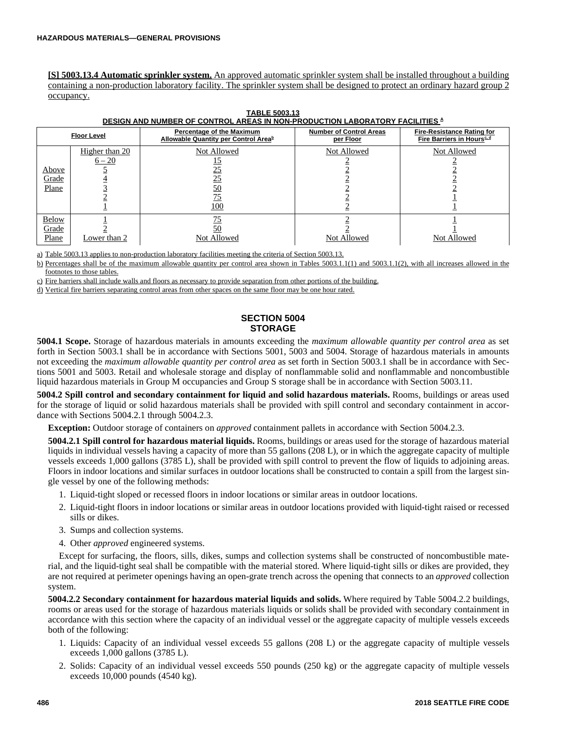**[S] 5003.13.4 Automatic sprinkler system.** An approved automatic sprinkler system shall be installed throughout a building containing a non-production laboratory facility. The sprinkler system shall be designed to protect an ordinary hazard group 2 occupancy.

|                                | <b>Floor Level</b>         | Percentage of the Maximum<br>Allowable Quantity per Control Area <sup>b</sup> | <b>Number of Control Areas</b><br>per Floor | <b>Fire-Resistance Rating for</b><br><b>Fire Barriers in Hours</b> <sup>c.d</sup> |
|--------------------------------|----------------------------|-------------------------------------------------------------------------------|---------------------------------------------|-----------------------------------------------------------------------------------|
| Above<br>Grade<br>Plane        | Higher than 20<br>$6 - 20$ | Not Allowed<br>25<br><u>25</u><br><u>50</u><br>75<br>100                      | Not Allowed                                 | Not Allowed                                                                       |
| <b>Below</b><br>Grade<br>Plane | Lower than 2               | Not Allowed                                                                   | Not Allowed                                 | Not Allowed                                                                       |

| <b>TABLE 5003.13</b>                                                                 |  |
|--------------------------------------------------------------------------------------|--|
| DESIGN AND NUMBER OF CONTROL AREAS IN NON-PRODUCTION LABORATORY FACILITIES $^\Delta$ |  |

a) Table 5003.13 applies to non-production laboratory facilities meeting the criteria of Section 5003.13.

b) Percentages shall be of the maximum allowable quantity per control area shown in Tables 5003.1.1(1) and 5003.1.1(2), with all increases allowed in the footnotes to those tables.

c) Fire barriers shall include walls and floors as necessary to provide separation from other portions of the building.

d) Vertical fire barriers separating control areas from other spaces on the same floor may be one hour rated.

# **SECTION 5004 STORAGE**

**5004.1 Scope.** Storage of hazardous materials in amounts exceeding the *maximum allowable quantity per control area* as set forth in Section 5003.1 shall be in accordance with Sections 5001, 5003 and 5004. Storage of hazardous materials in amounts not exceeding the *maximum allowable quantity per control area* as set forth in Section 5003.1 shall be in accordance with Sections 5001 and 5003. Retail and wholesale storage and display of nonflammable solid and nonflammable and noncombustible liquid hazardous materials in Group M occupancies and Group S storage shall be in accordance with Section 5003.11.

**5004.2 Spill control and secondary containment for liquid and solid hazardous materials.** Rooms, buildings or areas used for the storage of liquid or solid hazardous materials shall be provided with spill control and secondary containment in accordance with Sections 5004.2.1 through 5004.2.3.

**Exception:** Outdoor storage of containers on *approved* containment pallets in accordance with Section 5004.2.3.

**5004.2.1 Spill control for hazardous material liquids.** Rooms, buildings or areas used for the storage of hazardous material liquids in individual vessels having a capacity of more than 55 gallons (208 L), or in which the aggregate capacity of multiple vessels exceeds 1,000 gallons (3785 L), shall be provided with spill control to prevent the flow of liquids to adjoining areas. Floors in indoor locations and similar surfaces in outdoor locations shall be constructed to contain a spill from the largest single vessel by one of the following methods:

- 1. Liquid-tight sloped or recessed floors in indoor locations or similar areas in outdoor locations.
- 2. Liquid-tight floors in indoor locations or similar areas in outdoor locations provided with liquid-tight raised or recessed sills or dikes.
- 3. Sumps and collection systems.
- 4. Other *approved* engineered systems.

Except for surfacing, the floors, sills, dikes, sumps and collection systems shall be constructed of noncombustible material, and the liquid-tight seal shall be compatible with the material stored. Where liquid-tight sills or dikes are provided, they are not required at perimeter openings having an open-grate trench across the opening that connects to an *approved* collection system.

**5004.2.2 Secondary containment for hazardous material liquids and solids.** Where required by Table 5004.2.2 buildings, rooms or areas used for the storage of hazardous materials liquids or solids shall be provided with secondary containment in accordance with this section where the capacity of an individual vessel or the aggregate capacity of multiple vessels exceeds both of the following:

- 1. Liquids: Capacity of an individual vessel exceeds 55 gallons (208 L) or the aggregate capacity of multiple vessels exceeds 1,000 gallons (3785 L).
- 2. Solids: Capacity of an individual vessel exceeds 550 pounds (250 kg) or the aggregate capacity of multiple vessels exceeds 10,000 pounds (4540 kg).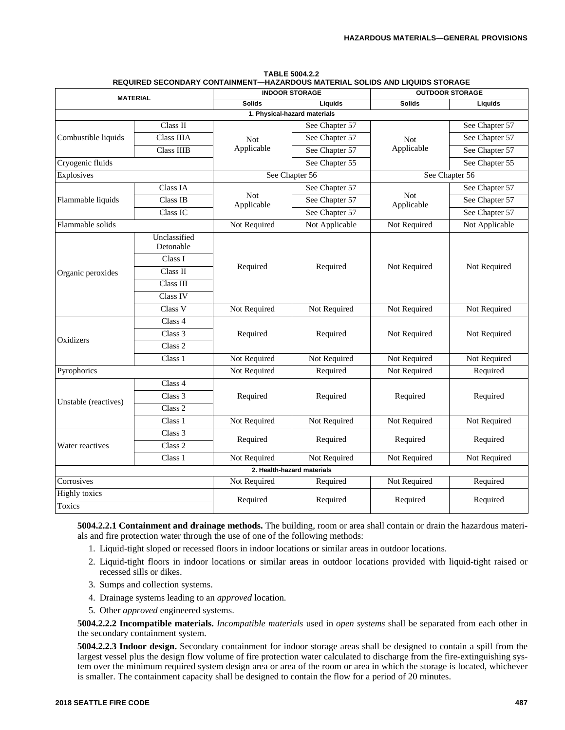| <b>MATERIAL</b>      |                           |                   | <b>INDOOR STORAGE</b>        |                          | <b>OUTDOOR STORAGE</b> |
|----------------------|---------------------------|-------------------|------------------------------|--------------------------|------------------------|
|                      |                           | <b>Solids</b>     | Liquids                      | <b>Solids</b>            | Liquids                |
|                      |                           |                   | 1. Physical-hazard materials |                          |                        |
|                      | Class II                  |                   | See Chapter 57               |                          | See Chapter 57         |
| Combustible liquids  | Class IIIA                | <b>Not</b>        | See Chapter 57               | <b>Not</b>               | See Chapter 57         |
|                      | <b>Class IIIB</b>         | Applicable        | See Chapter 57               | Applicable               | See Chapter 57         |
| Cryogenic fluids     |                           |                   | See Chapter 55               |                          | See Chapter 55         |
| Explosives           |                           |                   | See Chapter 56               |                          | See Chapter 56         |
|                      | Class IA                  |                   | See Chapter 57               |                          | See Chapter 57         |
| Flammable liquids    | Class IB                  | Not<br>Applicable | See Chapter 57               | <b>Not</b><br>Applicable | See Chapter 57         |
|                      | Class IC                  |                   | See Chapter 57               |                          | See Chapter 57         |
| Flammable solids     |                           | Not Required      | Not Applicable               | Not Required             | Not Applicable         |
|                      | Unclassified<br>Detonable |                   |                              |                          |                        |
|                      | Class I                   |                   |                              |                          |                        |
| Organic peroxides    | Class II                  | Required          | Required                     | Not Required             | Not Required           |
|                      | Class III                 |                   |                              |                          |                        |
|                      | Class IV                  |                   |                              |                          |                        |
|                      | Class V                   | Not Required      | Not Required                 | Not Required             | Not Required           |
|                      | Class 4                   |                   |                              |                          |                        |
| Oxidizers            | Class 3                   | Required          | Required                     | Not Required             | Not Required           |
|                      | Class 2                   |                   |                              |                          |                        |
|                      | Class 1                   | Not Required      | Not Required                 | Not Required             | Not Required           |
| Pyrophorics          |                           | Not Required      | Required                     | Not Required             | Required               |
|                      | Class 4                   |                   |                              |                          |                        |
|                      | Class 3                   | Required          | Required                     | Required                 | Required               |
| Unstable (reactives) | Class <sub>2</sub>        |                   |                              |                          |                        |
|                      | Class 1                   | Not Required      | Not Required                 | Not Required             | Not Required           |
|                      | Class 3                   |                   |                              |                          |                        |
| Water reactives      | Class <sub>2</sub>        | Required          | Required                     | Required                 | Required               |
|                      | Class 1                   | Not Required      | Not Required                 | Not Required             | Not Required           |
|                      |                           |                   | 2. Health-hazard materials   |                          |                        |
| Corrosives           |                           | Not Required      | Required                     | Not Required             | Required               |
| <b>Highly</b> toxics |                           | Required          | Required                     | Required                 | Required               |
| <b>Toxics</b>        |                           |                   |                              |                          |                        |

| <b>TABLE 5004.2.2</b>                                                        |
|------------------------------------------------------------------------------|
| REQUIRED SECONDARY CONTAINMENT—HAZARDOUS MATERIAL SOLIDS AND LIQUIDS STORAGE |

**5004.2.2.1 Containment and drainage methods.** The building, room or area shall contain or drain the hazardous materials and fire protection water through the use of one of the following methods:

- 1. Liquid-tight sloped or recessed floors in indoor locations or similar areas in outdoor locations.
- 2. Liquid-tight floors in indoor locations or similar areas in outdoor locations provided with liquid-tight raised or recessed sills or dikes.
- 3. Sumps and collection systems.
- 4. Drainage systems leading to an *approved* location.
- 5. Other *approved* engineered systems.

**5004.2.2.2 Incompatible materials.** *Incompatible materials* used in *open systems* shall be separated from each other in the secondary containment system.

**5004.2.2.3 Indoor design.** Secondary containment for indoor storage areas shall be designed to contain a spill from the largest vessel plus the design flow volume of fire protection water calculated to discharge from the fire-extinguishing system over the minimum required system design area or area of the room or area in which the storage is located, whichever is smaller. The containment capacity shall be designed to contain the flow for a period of 20 minutes.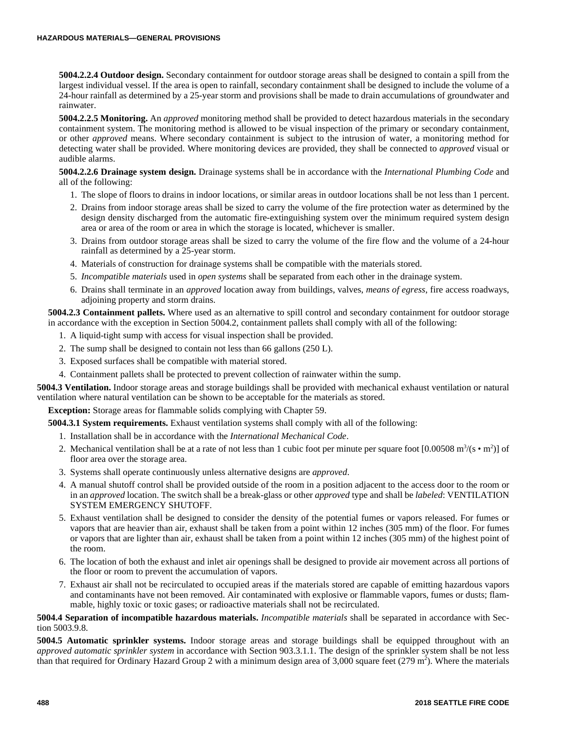**5004.2.2.4 Outdoor design.** Secondary containment for outdoor storage areas shall be designed to contain a spill from the largest individual vessel. If the area is open to rainfall, secondary containment shall be designed to include the volume of a 24-hour rainfall as determined by a 25-year storm and provisions shall be made to drain accumulations of groundwater and rainwater.

**5004.2.2.5 Monitoring.** An *approved* monitoring method shall be provided to detect hazardous materials in the secondary containment system. The monitoring method is allowed to be visual inspection of the primary or secondary containment, or other *approved* means. Where secondary containment is subject to the intrusion of water, a monitoring method for detecting water shall be provided. Where monitoring devices are provided, they shall be connected to *approved* visual or audible alarms.

**5004.2.2.6 Drainage system design.** Drainage systems shall be in accordance with the *International Plumbing Code* and all of the following:

- 1. The slope of floors to drains in indoor locations, or similar areas in outdoor locations shall be not less than 1 percent.
- 2. Drains from indoor storage areas shall be sized to carry the volume of the fire protection water as determined by the design density discharged from the automatic fire-extinguishing system over the minimum required system design area or area of the room or area in which the storage is located, whichever is smaller.
- 3. Drains from outdoor storage areas shall be sized to carry the volume of the fire flow and the volume of a 24-hour rainfall as determined by a 25-year storm.
- 4. Materials of construction for drainage systems shall be compatible with the materials stored.
- 5. *Incompatible materials* used in *open systems* shall be separated from each other in the drainage system.
- 6. Drains shall terminate in an *approved* location away from buildings, valves, *means of egress*, fire access roadways, adjoining property and storm drains.

**5004.2.3 Containment pallets.** Where used as an alternative to spill control and secondary containment for outdoor storage in accordance with the exception in Section 5004.2, containment pallets shall comply with all of the following:

- 1. A liquid-tight sump with access for visual inspection shall be provided.
- 2. The sump shall be designed to contain not less than 66 gallons (250 L).
- 3. Exposed surfaces shall be compatible with material stored.
- 4. Containment pallets shall be protected to prevent collection of rainwater within the sump.

**5004.3 Ventilation.** Indoor storage areas and storage buildings shall be provided with mechanical exhaust ventilation or natural ventilation where natural ventilation can be shown to be acceptable for the materials as stored.

**Exception:** Storage areas for flammable solids complying with Chapter 59.

**5004.3.1 System requirements.** Exhaust ventilation systems shall comply with all of the following:

- 1. Installation shall be in accordance with the *International Mechanical Code*.
- 2. Mechanical ventilation shall be at a rate of not less than 1 cubic foot per minute per square foot  $[0.00508 \text{ m}^3/(\text{s} \cdot \text{m}^2)]$  of floor area over the storage area.
- 3. Systems shall operate continuously unless alternative designs are *approved*.
- 4. A manual shutoff control shall be provided outside of the room in a position adjacent to the access door to the room or in an *approved* location. The switch shall be a break-glass or other *approved* type and shall be *labeled*: VENTILATION SYSTEM EMERGENCY SHUTOFF.
- 5. Exhaust ventilation shall be designed to consider the density of the potential fumes or vapors released. For fumes or vapors that are heavier than air, exhaust shall be taken from a point within 12 inches (305 mm) of the floor. For fumes or vapors that are lighter than air, exhaust shall be taken from a point within 12 inches (305 mm) of the highest point of the room.
- 6. The location of both the exhaust and inlet air openings shall be designed to provide air movement across all portions of the floor or room to prevent the accumulation of vapors.
- 7. Exhaust air shall not be recirculated to occupied areas if the materials stored are capable of emitting hazardous vapors and contaminants have not been removed. Air contaminated with explosive or flammable vapors, fumes or dusts; flammable, highly toxic or toxic gases; or radioactive materials shall not be recirculated.

# **5004.4 Separation of incompatible hazardous materials.** *Incompatible materials* shall be separated in accordance with Section 5003.9.8.

**5004.5 Automatic sprinkler systems.** Indoor storage areas and storage buildings shall be equipped throughout with an *approved automatic sprinkler system* in accordance with Section 903.3.1.1. The design of the sprinkler system shall be not less than that required for Ordinary Hazard Group 2 with a minimum design area of  $3,000$  square feet (279 m<sup>2</sup>). Where the materials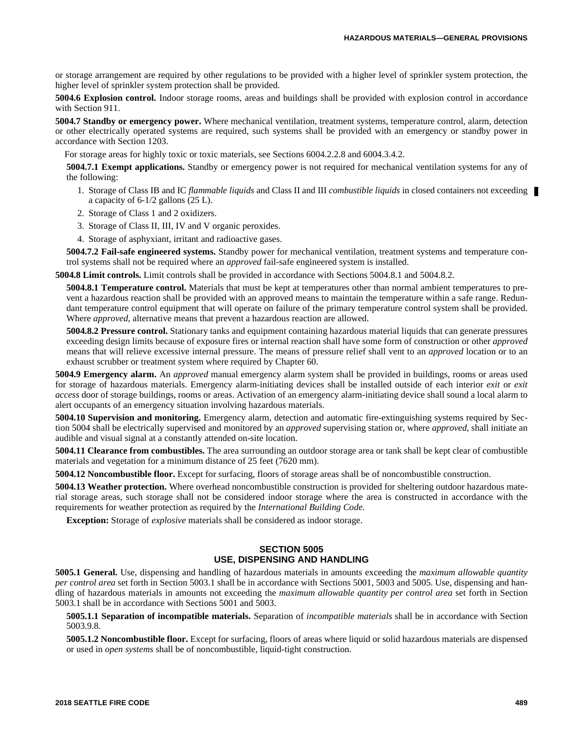or storage arrangement are required by other regulations to be provided with a higher level of sprinkler system protection, the higher level of sprinkler system protection shall be provided.

**5004.6 Explosion control.** Indoor storage rooms, areas and buildings shall be provided with explosion control in accordance with Section 911.

**5004.7 Standby or emergency power.** Where mechanical ventilation, treatment systems, temperature control, alarm, detection or other electrically operated systems are required, such systems shall be provided with an emergency or standby power in accordance with Section 1203.

For storage areas for highly toxic or toxic materials, see Sections 6004.2.2.8 and 6004.3.4.2.

**5004.7.1 Exempt applications.** Standby or emergency power is not required for mechanical ventilation systems for any of the following:

- 1. Storage of Class IB and IC *flammable liquids* and Class II and III *combustible liquids* in closed containers not exceeding a capacity of 6-1/2 gallons (25 L).
- 2. Storage of Class 1 and 2 oxidizers.
- 3. Storage of Class II, III, IV and V organic peroxides.
- 4. Storage of asphyxiant, irritant and radioactive gases.

**5004.7.2 Fail-safe engineered systems.** Standby power for mechanical ventilation, treatment systems and temperature control systems shall not be required where an *approved* fail-safe engineered system is installed.

**5004.8 Limit controls.** Limit controls shall be provided in accordance with Sections 5004.8.1 and 5004.8.2.

**5004.8.1 Temperature control.** Materials that must be kept at temperatures other than normal ambient temperatures to prevent a hazardous reaction shall be provided with an approved means to maintain the temperature within a safe range. Redundant temperature control equipment that will operate on failure of the primary temperature control system shall be provided. Where *approved*, alternative means that prevent a hazardous reaction are allowed.

**5004.8.2 Pressure control.** Stationary tanks and equipment containing hazardous material liquids that can generate pressures exceeding design limits because of exposure fires or internal reaction shall have some form of construction or other *approved* means that will relieve excessive internal pressure. The means of pressure relief shall vent to an *approved* location or to an exhaust scrubber or treatment system where required by Chapter 60.

**5004.9 Emergency alarm.** An *approved* manual emergency alarm system shall be provided in buildings, rooms or areas used for storage of hazardous materials. Emergency alarm-initiating devices shall be installed outside of each interior *exit* or *exit access* door of storage buildings, rooms or areas. Activation of an emergency alarm-initiating device shall sound a local alarm to alert occupants of an emergency situation involving hazardous materials.

**5004.10 Supervision and monitoring.** Emergency alarm, detection and automatic fire-extinguishing systems required by Section 5004 shall be electrically supervised and monitored by an *approved* supervising station or, where *approved*, shall initiate an audible and visual signal at a constantly attended on-site location.

**5004.11 Clearance from combustibles.** The area surrounding an outdoor storage area or tank shall be kept clear of combustible materials and vegetation for a minimum distance of 25 feet (7620 mm).

**5004.12 Noncombustible floor.** Except for surfacing, floors of storage areas shall be of noncombustible construction.

**5004.13 Weather protection.** Where overhead noncombustible construction is provided for sheltering outdoor hazardous material storage areas, such storage shall not be considered indoor storage where the area is constructed in accordance with the requirements for weather protection as required by the *International Building Code.*

**Exception:** Storage of *explosive* materials shall be considered as indoor storage.

# **SECTION 5005 USE, DISPENSING AND HANDLING**

**5005.1 General.** Use, dispensing and handling of hazardous materials in amounts exceeding the *maximum allowable quantity per control area* set forth in Section 5003.1 shall be in accordance with Sections 5001, 5003 and 5005. Use, dispensing and handling of hazardous materials in amounts not exceeding the *maximum allowable quantity per control area* set forth in Section 5003.1 shall be in accordance with Sections 5001 and 5003.

**5005.1.1 Separation of incompatible materials.** Separation of *incompatible materials* shall be in accordance with Section 5003.9.8.

**5005.1.2 Noncombustible floor.** Except for surfacing, floors of areas where liquid or solid hazardous materials are dispensed or used in *open systems* shall be of noncombustible, liquid-tight construction.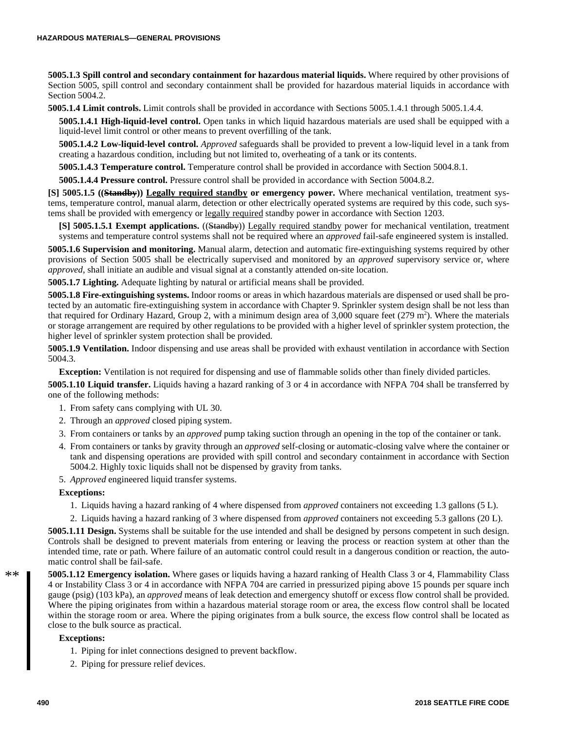**5005.1.3 Spill control and secondary containment for hazardous material liquids.** Where required by other provisions of Section 5005, spill control and secondary containment shall be provided for hazardous material liquids in accordance with Section 5004.2.

**5005.1.4 Limit controls.** Limit controls shall be provided in accordance with Sections 5005.1.4.1 through 5005.1.4.4.

**5005.1.4.1 High-liquid-level control.** Open tanks in which liquid hazardous materials are used shall be equipped with a liquid-level limit control or other means to prevent overfilling of the tank.

**5005.1.4.2 Low-liquid-level control.** *Approved* safeguards shall be provided to prevent a low-liquid level in a tank from creating a hazardous condition, including but not limited to, overheating of a tank or its contents.

**5005.1.4.3 Temperature control.** Temperature control shall be provided in accordance with Section 5004.8.1.

**5005.1.4.4 Pressure control.** Pressure control shall be provided in accordance with Section 5004.8.2.

**[S] 5005.1.5 ((Standby)) Legally required standby or emergency power.** Where mechanical ventilation, treatment systems, temperature control, manual alarm, detection or other electrically operated systems are required by this code, such systems shall be provided with emergency or legally required standby power in accordance with Section 1203.

**[S] 5005.1.5.1 Exempt applications.** ((Standby)) Legally required standby power for mechanical ventilation, treatment systems and temperature control systems shall not be required where an *approved* fail-safe engineered system is installed.

**5005.1.6 Supervision and monitoring.** Manual alarm, detection and automatic fire-extinguishing systems required by other provisions of Section 5005 shall be electrically supervised and monitored by an *approved* supervisory service or, where *approved*, shall initiate an audible and visual signal at a constantly attended on-site location.

**5005.1.7 Lighting.** Adequate lighting by natural or artificial means shall be provided.

**5005.1.8 Fire-extinguishing systems.** Indoor rooms or areas in which hazardous materials are dispensed or used shall be protected by an automatic fire-extinguishing system in accordance with Chapter 9. Sprinkler system design shall be not less than that required for Ordinary Hazard, Group 2, with a minimum design area of  $3,000$  square feet (279 m<sup>2</sup>). Where the materials or storage arrangement are required by other regulations to be provided with a higher level of sprinkler system protection, the higher level of sprinkler system protection shall be provided.

**5005.1.9 Ventilation.** Indoor dispensing and use areas shall be provided with exhaust ventilation in accordance with Section 5004.3.

**Exception:** Ventilation is not required for dispensing and use of flammable solids other than finely divided particles.

**5005.1.10 Liquid transfer.** Liquids having a hazard ranking of 3 or 4 in accordance with NFPA 704 shall be transferred by one of the following methods:

- 1. From safety cans complying with UL 30.
- 2. Through an *approved* closed piping system.
- 3. From containers or tanks by an *approved* pump taking suction through an opening in the top of the container or tank.
- 4. From containers or tanks by gravity through an *approved* self-closing or automatic-closing valve where the container or tank and dispensing operations are provided with spill control and secondary containment in accordance with Section 5004.2. Highly toxic liquids shall not be dispensed by gravity from tanks.
- 5. *Approved* engineered liquid transfer systems.

#### **Exceptions:**

- 1. Liquids having a hazard ranking of 4 where dispensed from *approved* containers not exceeding 1.3 gallons (5 L).
- 2. Liquids having a hazard ranking of 3 where dispensed from *approved* containers not exceeding 5.3 gallons (20 L).

**5005.1.11 Design.** Systems shall be suitable for the use intended and shall be designed by persons competent in such design. Controls shall be designed to prevent materials from entering or leaving the process or reaction system at other than the intended time, rate or path. Where failure of an automatic control could result in a dangerous condition or reaction, the automatic control shall be fail-safe.

**5005.1.12 Emergency isolation.** Where gases or liquids having a hazard ranking of Health Class 3 or 4, Flammability Class 4 or Instability Class 3 or 4 in accordance with NFPA 704 are carried in pressurized piping above 15 pounds per square inch gauge (psig) (103 kPa), an *approved* means of leak detection and emergency shutoff or excess flow control shall be provided. Where the piping originates from within a hazardous material storage room or area, the excess flow control shall be located within the storage room or area. Where the piping originates from a bulk source, the excess flow control shall be located as close to the bulk source as practical.

# **Exceptions:**

- 1. Piping for inlet connections designed to prevent backflow.
- 2. Piping for pressure relief devices.

 $**$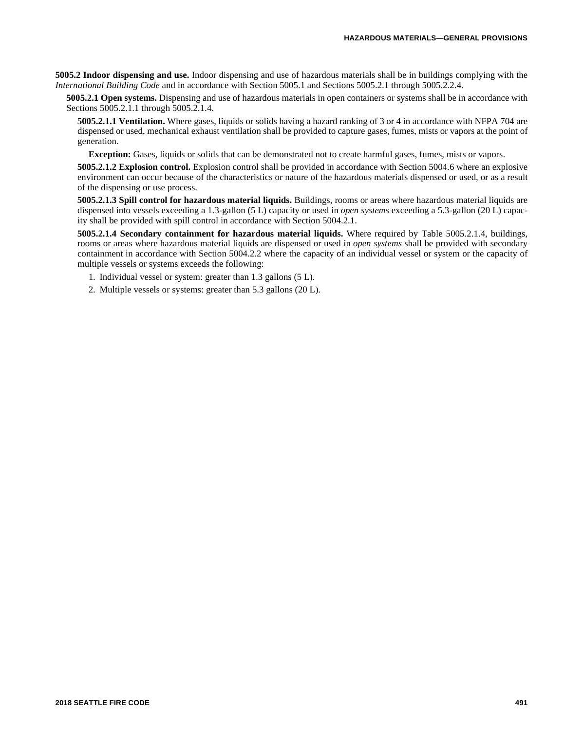**5005.2 Indoor dispensing and use.** Indoor dispensing and use of hazardous materials shall be in buildings complying with the *International Building Code* and in accordance with Section 5005.1 and Sections 5005.2.1 through 5005.2.2.4.

**5005.2.1 Open systems.** Dispensing and use of hazardous materials in open containers or systems shall be in accordance with Sections 5005.2.1.1 through 5005.2.1.4.

**5005.2.1.1 Ventilation.** Where gases, liquids or solids having a hazard ranking of 3 or 4 in accordance with NFPA 704 are dispensed or used, mechanical exhaust ventilation shall be provided to capture gases, fumes, mists or vapors at the point of generation.

**Exception:** Gases, liquids or solids that can be demonstrated not to create harmful gases, fumes, mists or vapors.

**5005.2.1.2 Explosion control.** Explosion control shall be provided in accordance with Section 5004.6 where an explosive environment can occur because of the characteristics or nature of the hazardous materials dispensed or used, or as a result of the dispensing or use process.

**5005.2.1.3 Spill control for hazardous material liquids.** Buildings, rooms or areas where hazardous material liquids are dispensed into vessels exceeding a 1.3-gallon (5 L) capacity or used in *open systems* exceeding a 5.3-gallon (20 L) capacity shall be provided with spill control in accordance with Section 5004.2.1.

**5005.2.1.4 Secondary containment for hazardous material liquids.** Where required by Table 5005.2.1.4, buildings, rooms or areas where hazardous material liquids are dispensed or used in *open systems* shall be provided with secondary containment in accordance with Section 5004.2.2 where the capacity of an individual vessel or system or the capacity of multiple vessels or systems exceeds the following:

- 1. Individual vessel or system: greater than 1.3 gallons (5 L).
- 2. Multiple vessels or systems: greater than 5.3 gallons (20 L).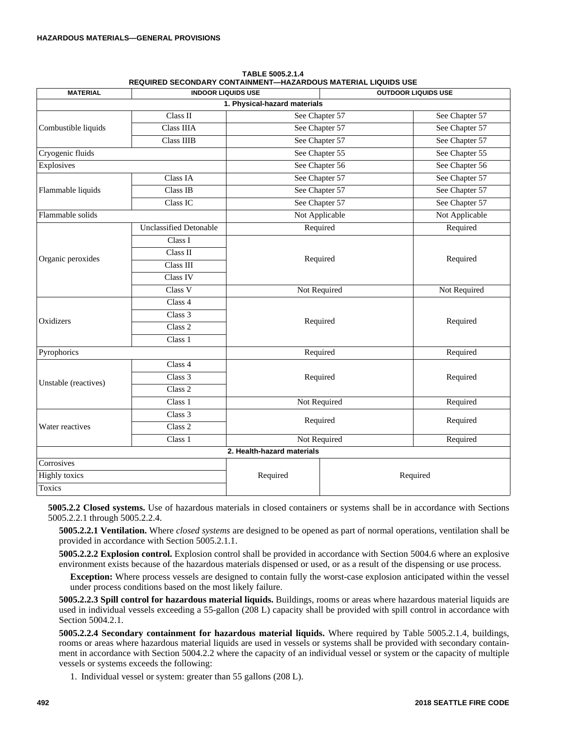| <b>MATERIAL</b>              | <b>INDOOR LIQUIDS USE</b>     |                            | <b>OUTDOOR LIQUIDS USE</b> |                |  |
|------------------------------|-------------------------------|----------------------------|----------------------------|----------------|--|
| 1. Physical-hazard materials |                               |                            |                            |                |  |
| Combustible liquids          | Class II                      | See Chapter 57             |                            | See Chapter 57 |  |
|                              | Class IIIA                    | See Chapter 57             |                            | See Chapter 57 |  |
|                              | <b>Class IIIB</b>             | See Chapter 57             |                            | See Chapter 57 |  |
| Cryogenic fluids             |                               | See Chapter 55             |                            | See Chapter 55 |  |
| Explosives                   |                               | See Chapter 56             |                            | See Chapter 56 |  |
| Flammable liquids            | Class IA                      | See Chapter 57             |                            | See Chapter 57 |  |
|                              | Class IB                      | See Chapter 57             |                            | See Chapter 57 |  |
|                              | Class <sub>IC</sub>           | See Chapter 57             |                            | See Chapter 57 |  |
| Flammable solids             |                               | Not Applicable             |                            | Not Applicable |  |
| Organic peroxides            | <b>Unclassified Detonable</b> | Required                   |                            | Required       |  |
|                              | Class I                       | Required                   |                            | Required       |  |
|                              | Class II                      |                            |                            |                |  |
|                              | Class III                     |                            |                            |                |  |
|                              | Class IV                      |                            |                            |                |  |
|                              | Class V                       | Not Required               |                            | Not Required   |  |
| Oxidizers                    | Class 4                       | Required                   |                            | Required       |  |
|                              | Class 3                       |                            |                            |                |  |
|                              | Class <sub>2</sub>            |                            |                            |                |  |
|                              | Class 1                       |                            |                            |                |  |
| Pyrophorics                  |                               | Required                   |                            | Required       |  |
| Unstable (reactives)         | Class 4                       | Required                   |                            |                |  |
|                              | Class 3                       |                            |                            | Required       |  |
|                              | Class <sub>2</sub>            |                            |                            |                |  |
|                              | Class 1                       | Not Required               |                            | Required       |  |
| Water reactives              | $\overline{\text{Class}}$ 3   | Required                   |                            | Required       |  |
|                              | Class 2                       |                            |                            |                |  |
|                              | Class 1                       | Not Required               |                            | Required       |  |
|                              |                               | 2. Health-hazard materials |                            |                |  |
| Corrosives                   |                               | Required                   | Required                   |                |  |
| <b>Highly</b> toxics         |                               |                            |                            |                |  |
| Toxics                       |                               |                            |                            |                |  |

**TABLE 5005.2.1.4 REQUIRED SECONDARY CONTAINMENT—HAZARDOUS MATERIAL LIQUIDS USE**

**5005.2.2 Closed systems.** Use of hazardous materials in closed containers or systems shall be in accordance with Sections 5005.2.2.1 through 5005.2.2.4.

**5005.2.2.1 Ventilation.** Where *closed systems* are designed to be opened as part of normal operations, ventilation shall be provided in accordance with Section 5005.2.1.1.

**5005.2.2.2 Explosion control.** Explosion control shall be provided in accordance with Section 5004.6 where an explosive environment exists because of the hazardous materials dispensed or used, or as a result of the dispensing or use process.

**Exception:** Where process vessels are designed to contain fully the worst-case explosion anticipated within the vessel under process conditions based on the most likely failure.

**5005.2.2.3 Spill control for hazardous material liquids.** Buildings, rooms or areas where hazardous material liquids are used in individual vessels exceeding a 55-gallon (208 L) capacity shall be provided with spill control in accordance with Section 5004.2.1.

**5005.2.2.4 Secondary containment for hazardous material liquids.** Where required by Table 5005.2.1.4, buildings, rooms or areas where hazardous material liquids are used in vessels or systems shall be provided with secondary containment in accordance with Section 5004.2.2 where the capacity of an individual vessel or system or the capacity of multiple vessels or systems exceeds the following:

1. Individual vessel or system: greater than 55 gallons (208 L).